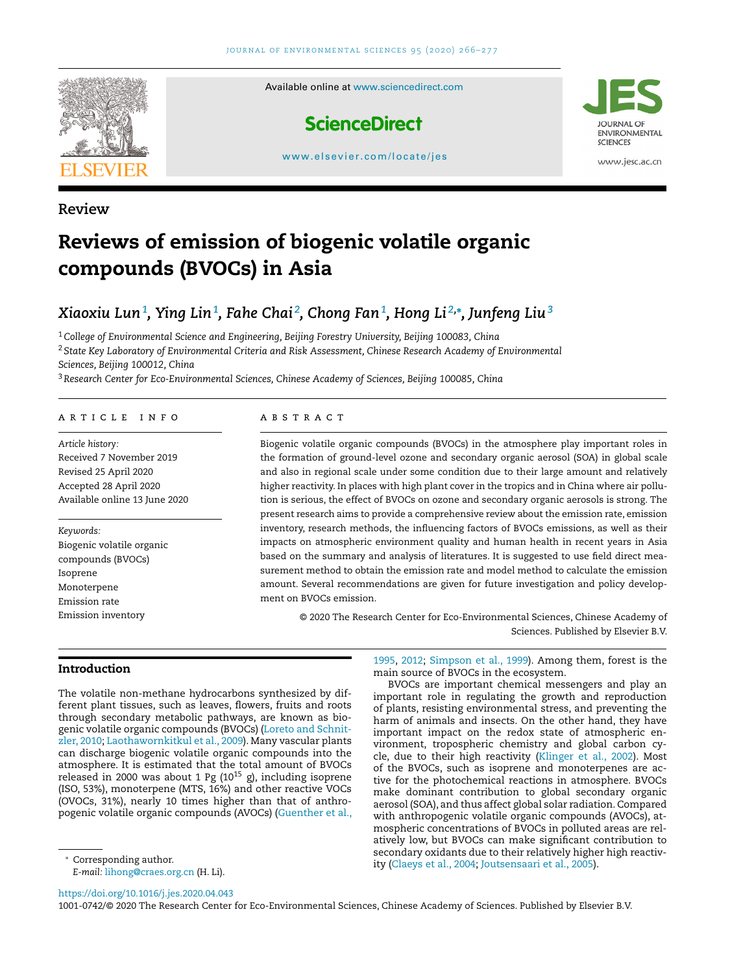

**Review**

# **Reviews of emission of biogenic volatile organic compounds (BVOCs) in Asia**

## Xiaoxiu Lun $^1$ , Ying Lin $^1$ , Fahe Chai $^2$ , Chong Fan $^1$ , Hong Li $^{2,\ast}$ , Junfeng Liu $^3$

<sup>1</sup>*College of Environmental Science and Engineering, Beijing Forestry University, Beijing 100083, China* <sup>2</sup> *State Key Laboratory of Environmental Criteria and Risk Assessment, Chinese Research Academy of Environmental Sciences, Beijing 100012, China*

<sup>3</sup>*Research Center for Eco-Environmental Sciences, Chinese Academy of Sciences, Beijing 100085, China*

#### a r t i c l e i n f o

*Article history:* Received 7 November 2019 Revised 25 April 2020 Accepted 28 April 2020 Available online 13 June 2020

*Keywords:* Biogenic volatile organic compounds (BVOCs) Isoprene Monoterpene Emission rate Emission inventory

#### a b s t r a c t

Biogenic volatile organic compounds (BVOCs) in the atmosphere play important roles in the formation of ground-level ozone and secondary organic aerosol (SOA) in global scale and also in regional scale under some condition due to their large amount and relatively higher reactivity. In places with high plant cover in the tropics and in China where air pollution is serious, the effect of BVOCs on ozone and secondary organic aerosols is strong. The present research aims to provide a comprehensive review about the emission rate, emission inventory, research methods, the influencing factors of BVOCs emissions, as well as their impacts on atmospheric environment quality and human health in recent years in Asia based on the summary and analysis of literatures. It is suggested to use field direct measurement method to obtain the emission rate and model method to calculate the emission amount. Several recommendations are given for future investigation and policy development on BVOCs emission.

© 2020 The Research Center for Eco-Environmental Sciences, Chinese Academy of Sciences. Published by Elsevier B.V.

## **Introduction**

The volatile non-methane hydrocarbons synthesized by different plant tissues, such as leaves, flowers, fruits and roots through secondary metabolic pathways, are known as biogenic volatile organic compounds (BVOCs) (Loreto and Schnitzler, 2010; [Laothawornkitkul](#page-11-0) et al., 2009). Many vascular plants can discharge biogenic volatile organic compounds into the atmosphere. It is estimated that the total amount of BVOCs released in 2000 was about 1 Pg  $(10^{15} \text{ g})$ , including isoprene (ISO, 53%), monoterpene (MTS, 16%) and other reactive VOCs (OVOCs, 31%), nearly 10 times higher than that of anthropogenic volatile organic compounds (AVOCs) [\(Guenther](#page-10-0) et al.,

BVOCs are important chemical messengers and play an important role in regulating the growth and reproduction of plants, resisting environmental stress, and preventing the harm of animals and insects. On the other hand, they have important impact on the redox state of atmospheric environment, tropospheric chemistry and global carbon cycle, due to their high reactivity [\(Klinger](#page-10-0) et al., 2002). Most of the BVOCs, such as isoprene and monoterpenes are active for the photochemical reactions in atmosphere. BVOCs make dominant contribution to global secondary organic aerosol (SOA), and thus affect global solar radiation.Compared with anthropogenic volatile organic compounds (AVOCs), atmospheric concentrations of BVOCs in polluted areas are relatively low, but BVOCs can make significant contribution to secondary oxidants due to their relatively higher high reactivity [\(Claeys](#page-10-0) et al., 2004; [Joutsensaari](#page-10-0) et al., 2005).

*E-mail:* [lihong@craes.org.cn](mailto:lihong@craes.org.cn) (H. Li).

<https://doi.org/10.1016/j.jes.2020.04.043>

1001-0742/© 2020 The Research Center for Eco-Environmental Sciences, Chinese Academy of Sciences. Published by Elsevier B.V.

[<sup>1995,</sup>](#page-10-0) [2012;](#page-10-0) [Simpson](#page-11-0) et al., 1999). Among them, forest is the main source of BVOCs in the ecosystem.

<sup>∗</sup> Corresponding author.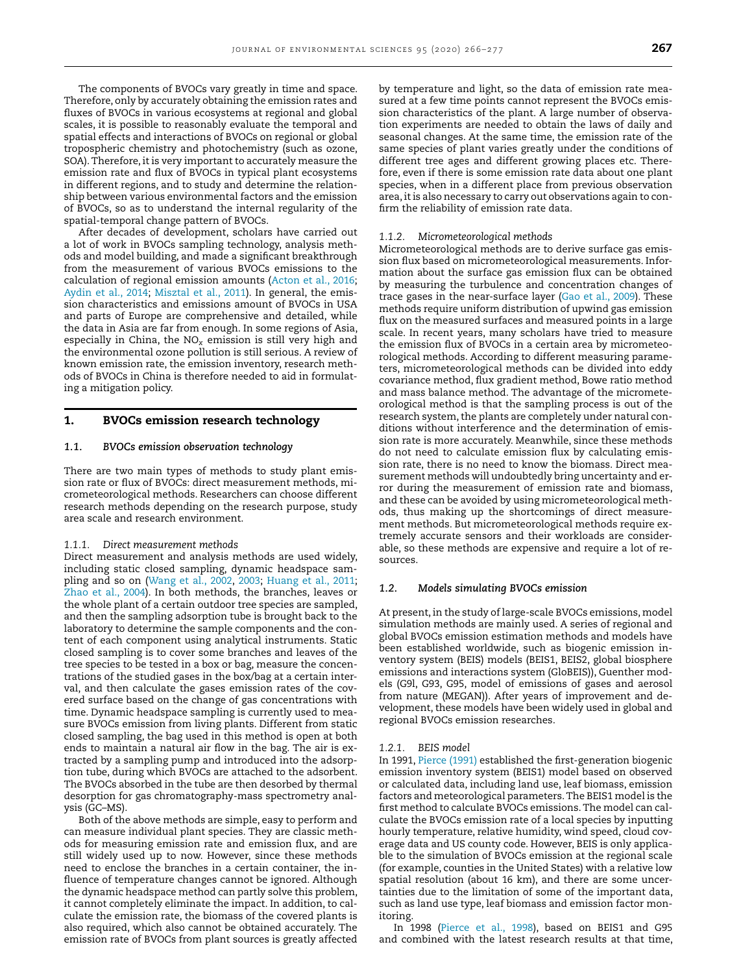The components of BVOCs vary greatly in time and space. Therefore, only by accurately obtaining the emission rates and fluxes of BVOCs in various ecosystems at regional and global scales, it is possible to reasonably evaluate the temporal and spatial effects and interactions of BVOCs on regional or global tropospheric chemistry and photochemistry (such as ozone, SOA). Therefore, it is very important to accurately measure the emission rate and flux of BVOCs in typical plant ecosystems in different regions, and to study and determine the relationship between various environmental factors and the emission of BVOCs, so as to understand the internal regularity of the spatial-temporal change pattern of BVOCs.

After decades of development, scholars have carried out a lot of work in BVOCs sampling technology, analysis methods and model building, and made a significant breakthrough from the measurement of various BVOCs emissions to the calculation of regional emission amounts [\(Acton](#page-10-0) et al., 2016; [Aydin](#page-10-0) et al., 2014; [Misztal](#page-11-0) et al., 2011). In general, the emission characteristics and emissions amount of BVOCs in USA and parts of Europe are comprehensive and detailed, while the data in Asia are far from enough. In some regions of Asia, especially in China, the NO*<sup>x</sup>* emission is still very high and the environmental ozone pollution is still serious. A review of known emission rate, the emission inventory, research methods of BVOCs in China is therefore needed to aid in formulating a mitigation policy.

## **1. BVOCs emission research technology**

#### *1.1. BVOCs emission observation technology*

There are two main types of methods to study plant emission rate or flux of BVOCs: direct measurement methods, micrometeorological methods. Researchers can choose different research methods depending on the research purpose, study area scale and research environment.

#### *1.1.1. Direct measurement methods*

Direct measurement and analysis methods are used widely, including static closed sampling, dynamic headspace sampling and so on [\(Wang](#page-11-0) et al., 2002, [2003;](#page-11-0) [Huang](#page-10-0) et al., 2011; [Zhao](#page-11-0) et al., 2004). In both methods, the branches, leaves or the whole plant of a certain outdoor tree species are sampled, and then the sampling adsorption tube is brought back to the laboratory to determine the sample components and the content of each component using analytical instruments. Static closed sampling is to cover some branches and leaves of the tree species to be tested in a box or bag, measure the concentrations of the studied gases in the box/bag at a certain interval, and then calculate the gases emission rates of the covered surface based on the change of gas concentrations with time. Dynamic headspace sampling is currently used to measure BVOCs emission from living plants. Different from static closed sampling, the bag used in this method is open at both ends to maintain a natural air flow in the bag. The air is extracted by a sampling pump and introduced into the adsorption tube, during which BVOCs are attached to the adsorbent. The BVOCs absorbed in the tube are then desorbed by thermal desorption for gas chromatography-mass spectrometry analysis (GC–MS).

Both of the above methods are simple, easy to perform and can measure individual plant species. They are classic methods for measuring emission rate and emission flux, and are still widely used up to now. However, since these methods need to enclose the branches in a certain container, the influence of temperature changes cannot be ignored. Although the dynamic headspace method can partly solve this problem, it cannot completely eliminate the impact. In addition, to calculate the emission rate, the biomass of the covered plants is also required, which also cannot be obtained accurately. The emission rate of BVOCs from plant sources is greatly affected by temperature and light, so the data of emission rate measured at a few time points cannot represent the BVOCs emission characteristics of the plant. A large number of observation experiments are needed to obtain the laws of daily and seasonal changes. At the same time, the emission rate of the same species of plant varies greatly under the conditions of different tree ages and different growing places etc. Therefore, even if there is some emission rate data about one plant species, when in a different place from previous observation area, it is also necessary to carry out observations again to confirm the reliability of emission rate data.

#### *1.1.2. Micrometeorological methods*

Micrometeorological methods are to derive surface gas emission flux based on micrometeorological measurements. Information about the surface gas emission flux can be obtained by measuring the turbulence and concentration changes of trace gases in the near-surface layer (Gao et al., [2009\)](#page-10-0). These methods require uniform distribution of upwind gas emission flux on the measured surfaces and measured points in a large scale. In recent years, many scholars have tried to measure the emission flux of BVOCs in a certain area by micrometeorological methods. According to different measuring parameters, micrometeorological methods can be divided into eddy covariance method, flux gradient method, Bowe ratio method and mass balance method. The advantage of the micrometeorological method is that the sampling process is out of the research system, the plants are completely under natural conditions without interference and the determination of emission rate is more accurately. Meanwhile, since these methods do not need to calculate emission flux by calculating emission rate, there is no need to know the biomass. Direct measurement methods will undoubtedly bring uncertainty and error during the measurement of emission rate and biomass, and these can be avoided by using micrometeorological methods, thus making up the shortcomings of direct measurement methods. But micrometeorological methods require extremely accurate sensors and their workloads are considerable, so these methods are expensive and require a lot of resources.

## *1.2. Models simulating BVOCs emission*

At present, in the study of large-scale BVOCs emissions, model simulation methods are mainly used. A series of regional and global BVOCs emission estimation methods and models have been established worldwide, such as biogenic emission inventory system (BEIS) models (BEIS1, BEIS2, global biosphere emissions and interactions system (GloBEIS)), Guenther models (G9l, G93, G95, model of emissions of gases and aerosol from nature (MEGAN)). After years of improvement and development, these models have been widely used in global and regional BVOCs emission researches.

#### *1.2.1. BEIS model*

In 1991, [Pierce](#page-11-0) (1991) established the first-generation biogenic emission inventory system (BEIS1) model based on observed or calculated data, including land use, leaf biomass, emission factors and meteorological parameters.The BEIS1 model is the first method to calculate BVOCs emissions. The model can calculate the BVOCs emission rate of a local species by inputting hourly temperature, relative humidity, wind speed, cloud coverage data and US county code. However, BEIS is only applicable to the simulation of BVOCs emission at the regional scale (for example, counties in the United States) with a relative low spatial resolution (about 16 km), and there are some uncertainties due to the limitation of some of the important data, such as land use type, leaf biomass and emission factor monitoring.

In 1998 [\(Pierce](#page-11-0) et al., 1998), based on BEIS1 and G95 and combined with the latest research results at that time,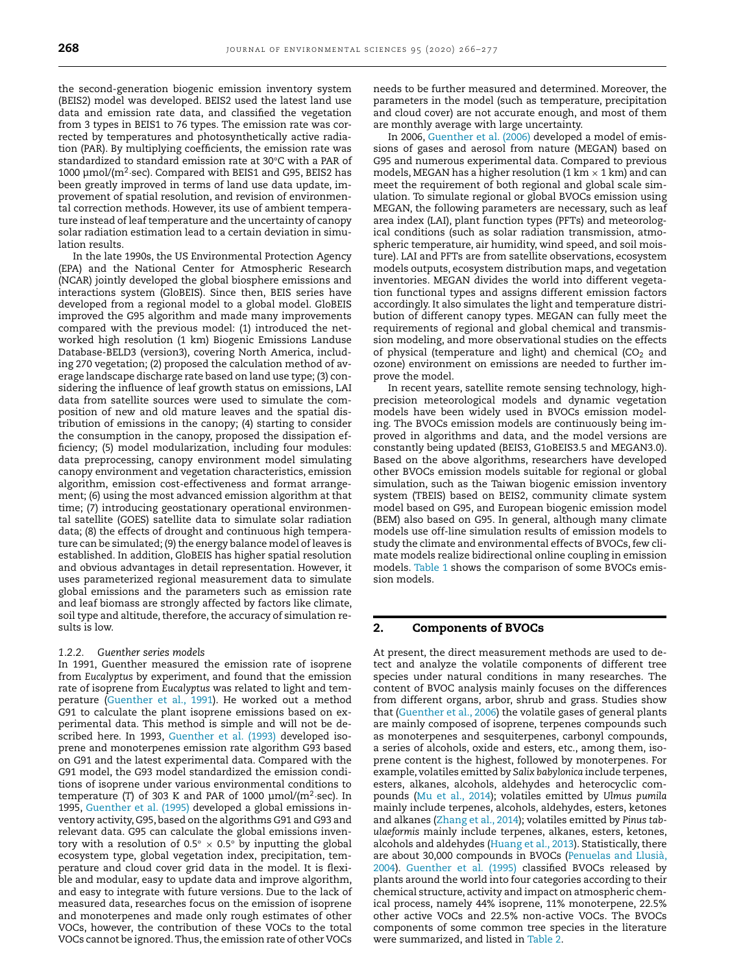the second-generation biogenic emission inventory system (BEIS2) model was developed. BEIS2 used the latest land use data and emission rate data, and classified the vegetation from 3 types in BEIS1 to 76 types. The emission rate was corrected by temperatures and photosynthetically active radiation (PAR). By multiplying coefficients, the emission rate was standardized to standard emission rate at 30°C with a PAR of 1000 μmol/( $m^2$ ·sec). Compared with BEIS1 and G95, BEIS2 has been greatly improved in terms of land use data update, improvement of spatial resolution, and revision of environmental correction methods. However, its use of ambient temperature instead of leaf temperature and the uncertainty of canopy solar radiation estimation lead to a certain deviation in simulation results.

In the late 1990s, the US Environmental Protection Agency (EPA) and the National Center for Atmospheric Research (NCAR) jointly developed the global biosphere emissions and interactions system (GloBEIS). Since then, BEIS series have developed from a regional model to a global model. GloBEIS improved the G95 algorithm and made many improvements compared with the previous model: (1) introduced the networked high resolution (1 km) Biogenic Emissions Landuse Database-BELD3 (version3), covering North America, including 270 vegetation; (2) proposed the calculation method of average landscape discharge rate based on land use type; (3) considering the influence of leaf growth status on emissions, LAI data from satellite sources were used to simulate the composition of new and old mature leaves and the spatial distribution of emissions in the canopy; (4) starting to consider the consumption in the canopy, proposed the dissipation efficiency; (5) model modularization, including four modules: data preprocessing, canopy environment model simulating canopy environment and vegetation characteristics, emission algorithm, emission cost-effectiveness and format arrangement; (6) using the most advanced emission algorithm at that time; (7) introducing geostationary operational environmental satellite (GOES) satellite data to simulate solar radiation data; (8) the effects of drought and continuous high temperature can be simulated; (9) the energy balance model of leaves is established. In addition, GloBEIS has higher spatial resolution and obvious advantages in detail representation. However, it uses parameterized regional measurement data to simulate global emissions and the parameters such as emission rate and leaf biomass are strongly affected by factors like climate, soil type and altitude, therefore, the accuracy of simulation results is low.

## *1.2.2. Guenther series models*

In 1991, Guenther measured the emission rate of isoprene from *Eucalyptus* by experiment, and found that the emission rate of isoprene from *Eucalyptus* was related to light and temperature [\(Guenther](#page-10-0) et al., 1991). He worked out a method G91 to calculate the plant isoprene emissions based on experimental data. This method is simple and will not be described here. In 1993, [Guenther](#page-10-0) et al. (1993) developed isoprene and monoterpenes emission rate algorithm G93 based on G91 and the latest experimental data. Compared with the G91 model, the G93 model standardized the emission conditions of isoprene under various environmental conditions to temperature (T) of 303 K and PAR of 1000  $\mu$ mol/(m<sup>2</sup>·sec). In 1995, [Guenther](#page-10-0) et al. (1995) developed a global emissions inventory activity, G95, based on the algorithms G91 and G93 and relevant data. G95 can calculate the global emissions inventory with a resolution of  $0.5^{\circ} \times 0.5^{\circ}$  by inputting the global ecosystem type, global vegetation index, precipitation, temperature and cloud cover grid data in the model. It is flexible and modular, easy to update data and improve algorithm, and easy to integrate with future versions. Due to the lack of measured data, researches focus on the emission of isoprene and monoterpenes and made only rough estimates of other VOCs, however, the contribution of these VOCs to the total VOCs cannot be ignored. Thus, the emission rate of other VOCs needs to be further measured and determined. Moreover, the parameters in the model (such as temperature, precipitation and cloud cover) are not accurate enough, and most of them are monthly average with large uncertainty.

In 2006, [Guenther](#page-10-0) et al. (2006) developed a model of emissions of gases and aerosol from nature (MEGAN) based on G95 and numerous experimental data. Compared to previous models, MEGAN has a higher resolution (1 km  $\times$  1 km) and can meet the requirement of both regional and global scale simulation. To simulate regional or global BVOCs emission using MEGAN, the following parameters are necessary, such as leaf area index (LAI), plant function types (PFTs) and meteorological conditions (such as solar radiation transmission, atmospheric temperature, air humidity, wind speed, and soil moisture). LAI and PFTs are from satellite observations, ecosystem models outputs, ecosystem distribution maps, and vegetation inventories. MEGAN divides the world into different vegetation functional types and assigns different emission factors accordingly. It also simulates the light and temperature distribution of different canopy types. MEGAN can fully meet the requirements of regional and global chemical and transmission modeling, and more observational studies on the effects of physical (temperature and light) and chemical (CO<sub>2</sub> and ozone) environment on emissions are needed to further improve the model.

In recent years, satellite remote sensing technology, highprecision meteorological models and dynamic vegetation models have been widely used in BVOCs emission modeling. The BVOCs emission models are continuously being improved in algorithms and data, and the model versions are constantly being updated (BEIS3, G1oBEIS3.5 and MEGAN3.0). Based on the above algorithms, researchers have developed other BVOCs emission models suitable for regional or global simulation, such as the Taiwan biogenic emission inventory system (TBEIS) based on BEIS2, community climate system model based on G95, and European biogenic emission model (BEM) also based on G95. In general, although many climate models use off-line simulation results of emission models to study the climate and environmental effects of BVOCs, few climate models realize bidirectional online coupling in emission models. [Table](#page-3-0) 1 shows the comparison of some BVOCs emission models.

## **2. Components of BVOCs**

At present, the direct measurement methods are used to detect and analyze the volatile components of different tree species under natural conditions in many researches. The content of BVOC analysis mainly focuses on the differences from different organs, arbor, shrub and grass. Studies show that [\(Guenther](#page-10-0) et al., 2006) the volatile gases of general plants are mainly composed of isoprene, terpenes compounds such as monoterpenes and sesquiterpenes, carbonyl compounds, a series of alcohols, oxide and esters, etc., among them, isoprene content is the highest, followed by monoterpenes. For example, volatiles emitted by *Salix babylonica* include terpenes, esters, alkanes, alcohols, aldehydes and heterocyclic compounds (Mu et al., [2014\)](#page-11-0); volatiles emitted by *Ulmus pumila* mainly include terpenes, alcohols, aldehydes, esters, ketones and alkanes [\(Zhang](#page-11-0) et al., 2014); volatiles emitted by *Pinus tabulaeformis* mainly include terpenes, alkanes, esters, ketones, alcohols and aldehydes [\(Huang](#page-10-0) et al., 2013). Statistically, there are about 30,000 [compounds](#page-11-0) in BVOCs (Penuelas and Llusià, 2004). [Guenther](#page-10-0) et al. (1995) classified BVOCs released by plants around the world into four categories according to their chemical structure, activity and impact on atmospheric chemical process, namely 44% isoprene, 11% monoterpene, 22.5% other active VOCs and 22.5% non-active VOCs. The BVOCs components of some common tree species in the literature were summarized, and listed in [Table](#page-4-0) 2.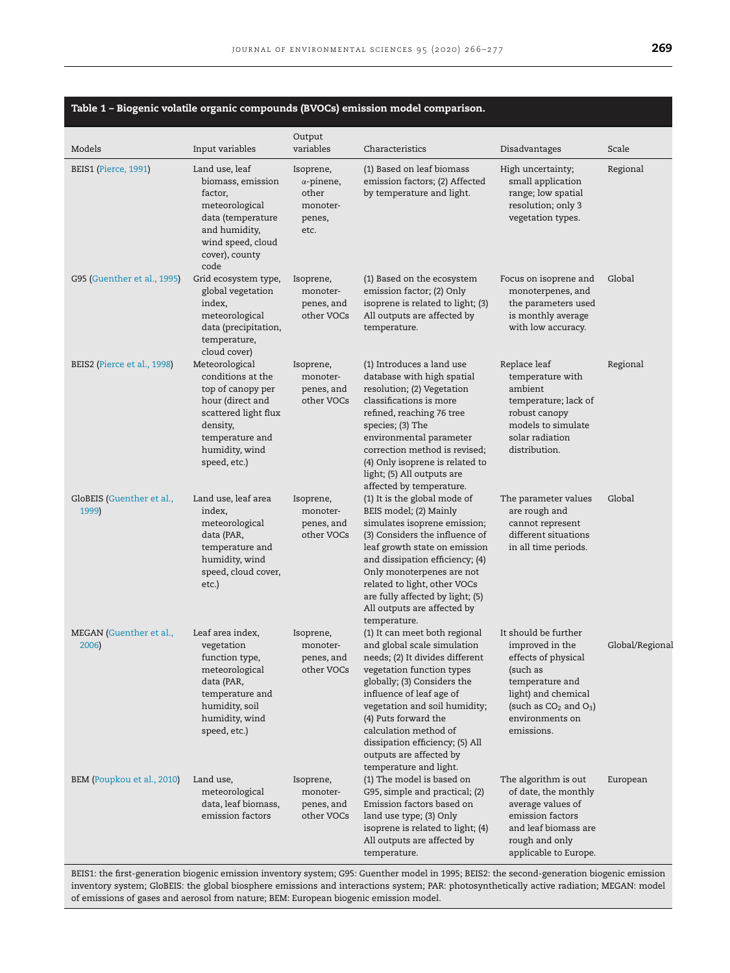<span id="page-3-0"></span>

|                                    |                                                                                                                                                                       |                                                                       | Table 1 – Biogenic volatile organic compounds (BVOCs) emission model comparison.                                                                                                                                                                                                                                                                                  |                                                                                                                                                                                    |                 |
|------------------------------------|-----------------------------------------------------------------------------------------------------------------------------------------------------------------------|-----------------------------------------------------------------------|-------------------------------------------------------------------------------------------------------------------------------------------------------------------------------------------------------------------------------------------------------------------------------------------------------------------------------------------------------------------|------------------------------------------------------------------------------------------------------------------------------------------------------------------------------------|-----------------|
| Models                             | Input variables                                                                                                                                                       | Output<br>variables                                                   | Characteristics                                                                                                                                                                                                                                                                                                                                                   | Disadvantages                                                                                                                                                                      | Scale           |
| BEIS1 (Pierce, 1991)               | Land use, leaf<br>biomass, emission<br>factor,<br>meteorological<br>data (temperature<br>and humidity,<br>wind speed, cloud<br>cover), county<br>code                 | Isoprene,<br>$\alpha$ -pinene,<br>other<br>monoter-<br>penes,<br>etc. | (1) Based on leaf biomass<br>emission factors; (2) Affected<br>by temperature and light.                                                                                                                                                                                                                                                                          | High uncertainty;<br>small application<br>range; low spatial<br>resolution; only 3<br>vegetation types.                                                                            | Regional        |
| G95 (Guenther et al., 1995)        | Grid ecosystem type,<br>global vegetation<br>index,<br>meteorological<br>data (precipitation,<br>temperature,<br>cloud cover)                                         | Isoprene,<br>monoter-<br>penes, and<br>other VOCs                     | (1) Based on the ecosystem<br>emission factor; (2) Only<br>isoprene is related to light; (3)<br>All outputs are affected by<br>temperature.                                                                                                                                                                                                                       | Focus on isoprene and<br>monoterpenes, and<br>the parameters used<br>is monthly average<br>with low accuracy.                                                                      | Global          |
| BEIS2 (Pierce et al., 1998)        | Meteorological<br>conditions at the<br>top of canopy per<br>hour (direct and<br>scattered light flux<br>density,<br>temperature and<br>humidity, wind<br>speed, etc.) | Isoprene,<br>monoter-<br>penes, and<br>other VOCs                     | (1) Introduces a land use<br>database with high spatial<br>resolution; (2) Vegetation<br>classifications is more<br>refined, reaching 76 tree<br>species; (3) The<br>environmental parameter<br>correction method is revised;<br>(4) Only isoprene is related to<br>light; (5) All outputs are<br>affected by temperature.                                        | Replace leaf<br>temperature with<br>ambient<br>temperature; lack of<br>robust canopy<br>models to simulate<br>solar radiation<br>distribution.                                     | Regional        |
| GloBEIS (Guenther et al.,<br>1999) | Land use, leaf area<br>index,<br>meteorological<br>data (PAR,<br>temperature and<br>humidity, wind<br>speed, cloud cover,<br>etc.)                                    | Isoprene,<br>monoter-<br>penes, and<br>other VOCs                     | (1) It is the global mode of<br>BEIS model; (2) Mainly<br>simulates isoprene emission;<br>(3) Considers the influence of<br>leaf growth state on emission<br>and dissipation efficiency; (4)<br>Only monoterpenes are not<br>related to light, other VOCs<br>are fully affected by light; (5)<br>All outputs are affected by<br>temperature.                      | The parameter values<br>are rough and<br>cannot represent<br>different situations<br>in all time periods.                                                                          | Global          |
| MEGAN (Guenther et al.,<br>2006)   | Leaf area index,<br>vegetation<br>function type,<br>meteorological<br>data (PAR,<br>temperature and<br>humidity, soil<br>humidity, wind<br>speed, etc.)               | Isoprene,<br>monoter-<br>penes, and<br>other VOCs                     | (1) It can meet both regional<br>and global scale simulation<br>needs; (2) It divides different<br>vegetation function types<br>globally; (3) Considers the<br>influence of leaf age of<br>vegetation and soil humidity;<br>(4) Puts forward the<br>calculation method of<br>dissipation efficiency; (5) All<br>outputs are affected by<br>temperature and light. | It should be further<br>improved in the<br>effects of physical<br>(such as<br>temperature and<br>light) and chemical<br>(such as $CO2$ and $O3$ )<br>environments on<br>emissions. | Global/Regional |
| BEM (Poupkou et al., 2010)         | Land use,<br>meteorological<br>data, leaf biomass,<br>emission factors                                                                                                | Isoprene,<br>monoter-<br>penes, and<br>other VOCs                     | (1) The model is based on<br>G95, simple and practical; (2)<br>Emission factors based on<br>land use type; (3) Only<br>isoprene is related to light; (4)<br>All outputs are affected by<br>temperature.                                                                                                                                                           | The algorithm is out<br>of date, the monthly<br>average values of<br>emission factors<br>and leaf biomass are<br>rough and only<br>applicable to Europe.                           | European        |

BEIS1: the first-generation biogenic emission inventory system; G95: Guenther model in 1995; BEIS2: the second-generation biogenic emission inventory system; GloBEIS: the global biosphere emissions and interactions system; PAR: photosynthetically active radiation; MEGAN: model of emissions of gases and aerosol from nature; BEM: European biogenic emission model.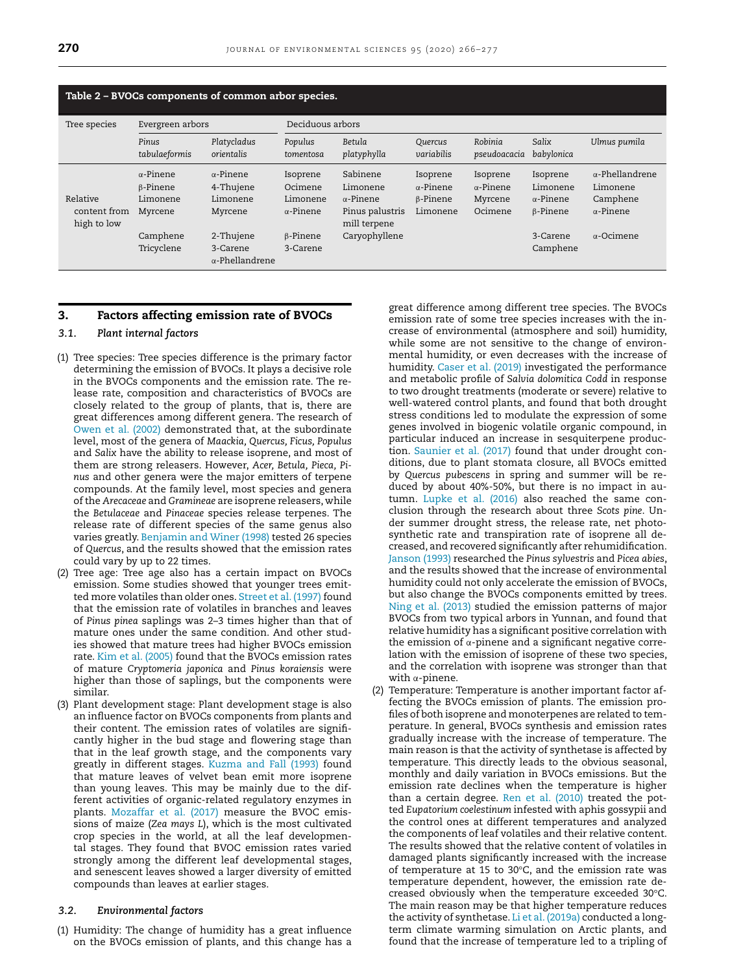<span id="page-4-0"></span>

| Table 2 - BVOCs components of common arbor species. |                                                                               |                                                                                                         |                                                                                    |                                                                                              |                                                             |                                                    |                                                                                     |                                                                                         |
|-----------------------------------------------------|-------------------------------------------------------------------------------|---------------------------------------------------------------------------------------------------------|------------------------------------------------------------------------------------|----------------------------------------------------------------------------------------------|-------------------------------------------------------------|----------------------------------------------------|-------------------------------------------------------------------------------------|-----------------------------------------------------------------------------------------|
| Tree species                                        | Evergreen arbors                                                              |                                                                                                         | Deciduous arbors                                                                   |                                                                                              |                                                             |                                                    |                                                                                     |                                                                                         |
|                                                     | Pinus<br>tabulaeformis                                                        | Platycladus<br>orientalis                                                                               | Populus<br>tomentosa                                                               | Betula<br>platyphylla                                                                        | Quercus<br>variabilis                                       | Robinia<br>pseudoacacia                            | Salix<br>babylonica                                                                 | Ulmus pumila                                                                            |
| Relative<br>content from<br>high to low             | $\alpha$ -Pinene<br>B-Pinene<br>Limonene<br>Myrcene<br>Camphene<br>Tricyclene | $\alpha$ -Pinene<br>4-Thujene<br>Limonene<br>Myrcene<br>2-Thujene<br>3-Carene<br>$\alpha$ -Phellandrene | Isoprene<br>Ocimene<br>Limonene<br>$\alpha$ -Pinene<br>$\beta$ -Pinene<br>3-Carene | Sabinene<br>Limonene<br>$\alpha$ -Pinene<br>Pinus palustris<br>mill terpene<br>Caryophyllene | Isoprene<br>$\alpha$ -Pinene<br>$\beta$ -Pinene<br>Limonene | Isoprene<br>$\alpha$ -Pinene<br>Myrcene<br>Ocimene | Isoprene<br>Limonene<br>$\alpha$ -Pinene<br>$\beta$ -Pinene<br>3-Carene<br>Camphene | $\alpha$ -Phellandrene<br>Limonene<br>Camphene<br>$\alpha$ -Pinene<br>$\alpha$ -Ocimene |

## **3. Factors affecting emission rate of BVOCs**

## *3.1. Plant internal factors*

- (1) Tree species: Tree species difference is the primary factor determining the emission of BVOCs. It plays a decisive role in the BVOCs components and the emission rate. The release rate, composition and characteristics of BVOCs are closely related to the group of plants, that is, there are great differences among different genera. The research of Owen et al. [\(2002\)](#page-11-0) demonstrated that, at the subordinate level, most of the genera of *Maackia, Quercus, Ficus, Populus* and *Salix* have the ability to release isoprene, and most of them are strong releasers. However, *Acer, Betula, Pieca, Pinus* and other genera were the major emitters of terpene compounds. At the family level, most species and genera of the *Arecaceae* and *Gramineae* are isoprene releasers, while the *Betulaceae* and *Pinaceae* species release terpenes. The release rate of different species of the same genus also varies greatly. [Benjamin](#page-10-0) and Winer (1998) tested 26 species of *Quercus*, and the results showed that the emission rates could vary by up to 22 times.
- (2) Tree age: Tree age also has a certain impact on BVOCs emission. Some studies showed that younger trees emitted more volatiles than older ones. [Street](#page-11-0) et al. (1997) found that the emission rate of volatiles in branches and leaves of *Pinus pinea* saplings was 2–3 times higher than that of mature ones under the same condition. And other studies showed that mature trees had higher BVOCs emission rate. Kim et al. [\(2005\)](#page-10-0) found that the BVOCs emission rates of mature *Cryptomeria japonica* and *Pinus koraiensis* were higher than those of saplings, but the components were similar.
- (3) Plant development stage: Plant development stage is also an influence factor on BVOCs components from plants and their content. The emission rates of volatiles are significantly higher in the bud stage and flowering stage than that in the leaf growth stage, and the components vary greatly in different stages. [Kuzma](#page-10-0) and Fall (1993) found that mature leaves of velvet bean emit more isoprene than young leaves. This may be mainly due to the different activities of organic-related regulatory enzymes in plants. [Mozaffar](#page-11-0) et al. (2017) measure the BVOC emissions of maize (*Zea mays L*), which is the most cultivated crop species in the world, at all the leaf developmental stages. They found that BVOC emission rates varied strongly among the different leaf developmental stages, and senescent leaves showed a larger diversity of emitted compounds than leaves at earlier stages.

## *3.2. Environmental factors*

(1) Humidity: The change of humidity has a great influence on the BVOCs emission of plants, and this change has a great difference among different tree species. The BVOCs emission rate of some tree species increases with the increase of environmental (atmosphere and soil) humidity, while some are not sensitive to the change of environmental humidity, or even decreases with the increase of humidity. Caser et al. [\(2019\)](#page-10-0) investigated the performance and metabolic profile of *Salvia dolomitica Codd* in response to two drought treatments (moderate or severe) relative to well-watered control plants, and found that both drought stress conditions led to modulate the expression of some genes involved in biogenic volatile organic compound, in particular induced an increase in sesquiterpene production. [Saunier](#page-11-0) et al. (2017) found that under drought conditions, due to plant stomata closure, all BVOCs emitted by *Quercus pubescens* in spring and summer will be reduced by about 40%-50%, but there is no impact in autumn. [Lupke](#page-11-0) et al. (2016) also reached the same conclusion through the research about three *Scots pine*. Under summer drought stress, the release rate, net photosynthetic rate and transpiration rate of isoprene all decreased, and recovered significantly after rehumidification. [Janson](#page-10-0) (1993) researched the *Pinus sylvestris* and *Picea abies*, and the results showed that the increase of environmental humidity could not only accelerate the emission of BVOCs, but also change the BVOCs components emitted by trees. Ning et al. [\(2013\)](#page-11-0) studied the emission patterns of major BVOCs from two typical arbors in Yunnan, and found that relative humidity has a significant positive correlation with the emission of  $\alpha$ -pinene and a significant negative correlation with the emission of isoprene of these two species, and the correlation with isoprene was stronger than that with α-pinene.

(2) Temperature: Temperature is another important factor affecting the BVOCs emission of plants. The emission profiles of both isoprene and monoterpenes are related to temperature. In general, BVOCs synthesis and emission rates gradually increase with the increase of temperature. The main reason is that the activity of synthetase is affected by temperature. This directly leads to the obvious seasonal, monthly and daily variation in BVOCs emissions. But the emission rate declines when the temperature is higher than a certain degree. Ren et al. [\(2010\)](#page-11-0) treated the potted *Eupatorium coelestinum* infested with aphis gossypii and the control ones at different temperatures and analyzed the components of leaf volatiles and their relative content. The results showed that the relative content of volatiles in damaged plants significantly increased with the increase of temperature at 15 to 30°C, and the emission rate was temperature dependent, however, the emission rate decreased obviously when the temperature exceeded 30°C. The main reason may be that higher temperature reduces the activity of synthetase. Li et al. [\(2019a\)](#page-11-0) conducted a longterm climate warming simulation on Arctic plants, and found that the increase of temperature led to a tripling of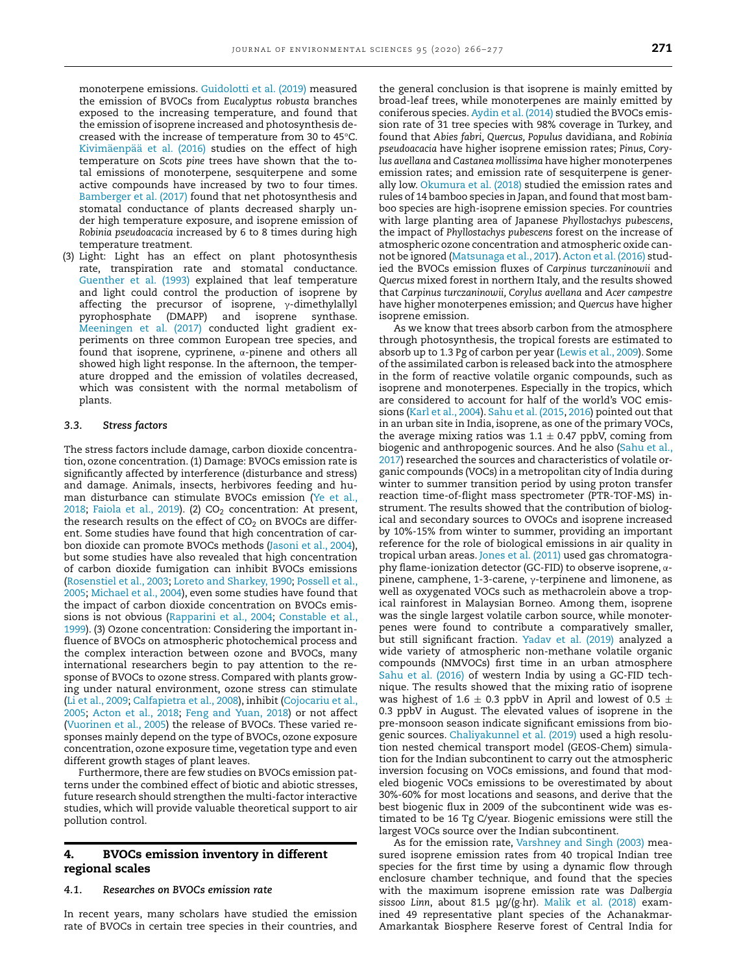monoterpene emissions. [Guidolotti](#page-10-0) et al. (2019) measured the emission of BVOCs from *Eucalyptus robusta* branches exposed to the increasing temperature, and found that the emission of isoprene increased and photosynthesis decreased with the increase of temperature from 30 to 45°C. [Kivimäenpää et](#page-10-0) al. (2016) studies on the effect of high temperature on *Scots pine* trees have shown that the total emissions of monoterpene, sesquiterpene and some active compounds have increased by two to four times. [Bamberger](#page-10-0) et al. (2017) found that net photosynthesis and stomatal conductance of plants decreased sharply under high temperature exposure, and isoprene emission of *Robinia pseudoacacia* increased by 6 to 8 times during high temperature treatment.

(3) Light: Light has an effect on plant photosynthesis rate, transpiration rate and stomatal conductance. [Guenther](#page-10-0) et al. (1993) explained that leaf temperature and light could control the production of isoprene by affecting the precursor of isoprene, γ-dimethylallyl pyrophosphate (DMAPP) and isoprene synthase. [Meeningen](#page-11-0) et al. (2017) conducted light gradient experiments on three common European tree species, and found that isoprene, cyprinene, α-pinene and others all showed high light response. In the afternoon, the temperature dropped and the emission of volatiles decreased, which was consistent with the normal metabolism of plants.

### *3.3. Stress factors*

The stress factors include damage, carbon dioxide concentration, ozone concentration. (1) Damage: BVOCs emission rate is significantly affected by interference (disturbance and stress) and damage. Animals, insects, herbivores feeding and human disturbance can stimulate BVOCs emission (Ye et al., 2018; [Faiola](#page-10-0) et al., 2019). (2)  $CO<sub>2</sub>$  [concentration:](#page-11-0) At present, the research results on the effect of  $CO<sub>2</sub>$  on BVOCs are different. Some studies have found that high concentration of carbon dioxide can promote BVOCs methods [\(Jasoni](#page-10-0) et al., 2004), but some studies have also revealed that high concentration of carbon dioxide fumigation can inhibit BVOCs emissions [\(Rosenstiel](#page-11-0) et al., 2003; Loreto and [Sharkey,](#page-11-0) 1990; Possell et al., 2005; [Michael](#page-11-0) et al., 2004), even some studies have found that the impact of carbon dioxide concentration on BVOCs emissions is not obvious [\(Rapparini](#page-11-0) et al., 2004; Constable et al., 1999). (3) Ozone [concentration:](#page-10-0) Considering the important influence of BVOCs on atmospheric photochemical process and the complex interaction between ozone and BVOCs, many international researchers begin to pay attention to the response of BVOCs to ozone stress. Compared with plants growing under natural environment, ozone stress can stimulate (Li et al., [2009;](#page-11-0) [Calfapietra](#page-10-0) et al., 2008), inhibit (Cojocariu et al., 2005; [Acton](#page-10-0) et al., 2018; Feng and [Yuan,](#page-10-0) 2018) or not affect [\(Vuorinen](#page-11-0) et al., 2005) the release of BVOCs. These varied responses mainly depend on the type of BVOCs, ozone exposure concentration, ozone exposure time, vegetation type and even different growth stages of plant leaves.

Furthermore, there are few studies on BVOCs emission patterns under the combined effect of biotic and abiotic stresses, future research should strengthen the multi-factor interactive studies, which will provide valuable theoretical support to air pollution control.

## **4. BVOCs emission inventory in different regional scales**

## *4.1. Researches on BVOCs emission rate*

In recent years, many scholars have studied the emission rate of BVOCs in certain tree species in their countries, and

the general conclusion is that isoprene is mainly emitted by broad-leaf trees, while monoterpenes are mainly emitted by coniferous species. [Aydin](#page-10-0) et al. (2014) studied the BVOCs emission rate of 31 tree species with 98% coverage in Turkey, and found that *Abies fabri, Quercus, Populus* davidiana, and *Robinia pseudoacacia* have higher isoprene emission rates; *Pinus, Corylus avellana* and *Castanea mollissima* have higher monoterpenes emission rates; and emission rate of sesquiterpene is generally low. [Okumura](#page-11-0) et al. (2018) studied the emission rates and rules of 14 bamboo species in Japan, and found that most bamboo species are high-isoprene emission species. For countries with large planting area of Japanese *Phyllostachys pubescens*, the impact of *Phyllostachys pubescens* forest on the increase of atmospheric ozone concentration and atmospheric oxide cannot be ignored [\(Matsunaga](#page-11-0) et al., 2017). [Acton](#page-10-0) et al. (2016) studied the BVOCs emission fluxes of *Carpinus turczaninowii* and *Quercus* mixed forest in northern Italy, and the results showed that *Carpinus turczaninowii, Corylus avellana* and *Acer campestre* have higher monoterpenes emission; and *Quercus* have higher isoprene emission.

As we know that trees absorb carbon from the atmosphere through photosynthesis, the tropical forests are estimated to absorb up to 1.3 Pg of carbon per year [\(Lewis](#page-11-0) et al., 2009). Some of the assimilated carbon is released back into the atmosphere in the form of reactive volatile organic compounds, such as isoprene and monoterpenes. Especially in the tropics, which are considered to account for half of the world's VOC emissions (Karl et al., [2004\)](#page-10-0). Sahu et al. [\(2015,](#page-11-0) [2016\)](#page-11-0) pointed out that in an urban site in India, isoprene, as one of the primary VOCs, the average mixing ratios was  $1.1 \pm 0.47$  ppbV, coming from biogenic and anthropogenic sources. And he also (Sahu et al., 2017) researched the sources and [characteristics](#page-11-0) of volatile organic compounds (VOCs) in a metropolitan city of India during winter to summer transition period by using proton transfer reaction time-of-flight mass spectrometer (PTR-TOF-MS) instrument. The results showed that the contribution of biological and secondary sources to OVOCs and isoprene increased by 10%-15% from winter to summer, providing an important reference for the role of biological emissions in air quality in tropical urban areas. Jones et al. [\(2011\)](#page-10-0) used gas chromatography flame-ionization detector (GC-FID) to observe isoprene, αpinene, camphene, 1-3-carene, γ-terpinene and limonene, as well as oxygenated VOCs such as methacrolein above a tropical rainforest in Malaysian Borneo. Among them, isoprene was the single largest volatile carbon source, while monoterpenes were found to contribute a comparatively smaller, but still significant fraction. [Yadav](#page-11-0) et al. (2019) analyzed a wide variety of atmospheric non-methane volatile organic compounds (NMVOCs) first time in an urban atmosphere Sahu et al. [\(2016\)](#page-11-0) of western India by using a GC-FID technique. The results showed that the mixing ratio of isoprene was highest of 1.6  $\pm$  0.3 ppbV in April and lowest of 0.5  $\pm$ 0.3 ppbV in August. The elevated values of isoprene in the pre-monsoon season indicate significant emissions from biogenic sources. [Chaliyakunnel](#page-10-0) et al. (2019) used a high resolution nested chemical transport model (GEOS-Chem) simulation for the Indian subcontinent to carry out the atmospheric inversion focusing on VOCs emissions, and found that modeled biogenic VOCs emissions to be overestimated by about 30%-60% for most locations and seasons, and derive that the best biogenic flux in 2009 of the subcontinent wide was estimated to be 16 Tg C/year. Biogenic emissions were still the largest VOCs source over the Indian subcontinent.

As for the emission rate, [Varshney](#page-11-0) and Singh (2003) measured isoprene emission rates from 40 tropical Indian tree species for the first time by using a dynamic flow through enclosure chamber technique, and found that the species with the maximum isoprene emission rate was *Dalbergia sissoo Linn*, about 81.5 μg/(g·hr). Malik et al. [\(2018\)](#page-11-0) examined 49 representative plant species of the Achanakmar-Amarkantak Biosphere Reserve forest of Central India for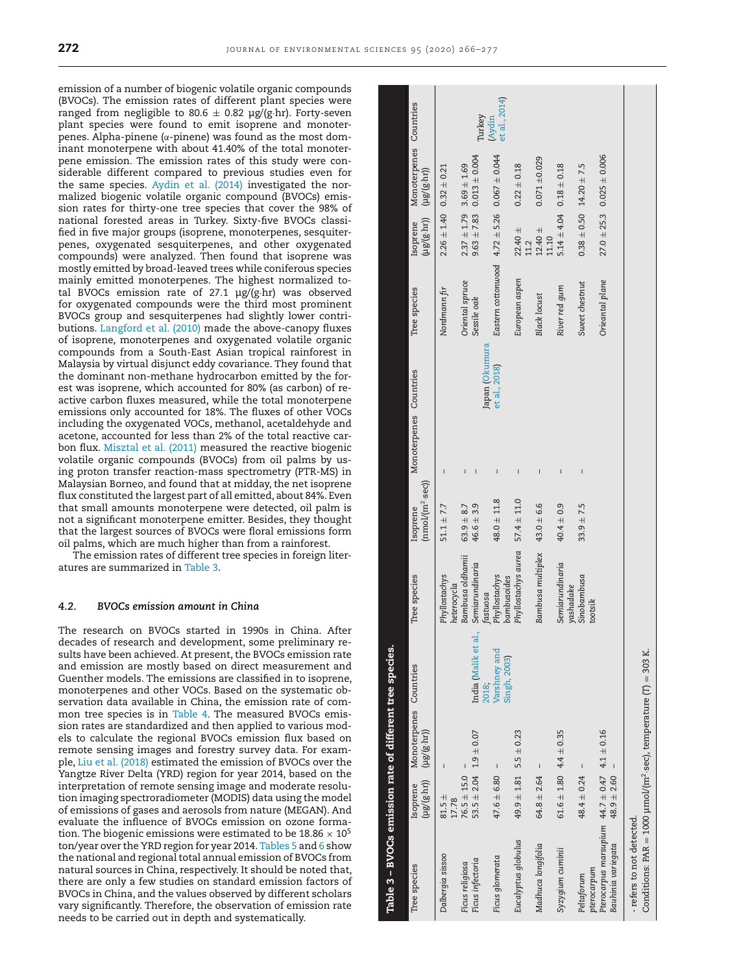emission of a number of biogenic volatile organic compounds (BVOCs). The emission rates of different plant species were ranged from negligible to 80.6  $\pm$  0.82 µg/(g·hr). Forty-seven plant species were found to emit isoprene and monoterpenes. Alpha-pinene (α-pinene) was found as the most dominant monoterpene with about 41.40% of the total monoterpene emission. The emission rates of this study were considerable different compared to previous studies even for the same species. [Aydin](#page-10-0) et al. (2014) investigated the normalized biogenic volatile organic compound (BVOCs) emission rates for thirty-one tree species that cover the 98% of national forested areas in Turkey. Sixty-five BVOCs classified in five major groups (isoprene, monoterpenes, sesquiterpenes, oxygenated sesquiterpenes, and other oxygenated compounds) were analyzed. Then found that isoprene was mostly emitted by broad-leaved trees while coniferous species mainly emitted monoterpenes. The highest normalized total BVOCs emission rate of 27.1  $\mu$ g/(g·hr) was observed for oxygenated compounds were the third most prominent BVOCs group and sesquiterpenes had slightly lower contributions. [Langford](#page-10-0) et al. (2010) made the above-canopy fluxes of isoprene, monoterpenes and oxygenated volatile organic compounds from a South-East Asian tropical rainforest in Malaysia by virtual disjunct eddy covariance. They found that the dominant non-methane hydrocarbon emitted by the forest was isoprene, which accounted for 80% (as carbon) of reactive carbon fluxes measured, while the total monoterpene emissions only accounted for 18%. The fluxes of other VOCs including the oxygenated VOCs, methanol, acetaldehyde and acetone, accounted for less than 2% of the total reactive carbon flux. [Misztal](#page-11-0) et al. (2011) measured the reactive biogenic volatile organic compounds (BVOCs) from oil palms by using proton transfer reaction-mass spectrometry (PTR-MS) in Malaysian Borneo, and found that at midday, the net isoprene flux constituted the largest part of all emitted, about 84%. Even that small amounts monoterpene were detected, oil palm is not a significant monoterpene emitter. Besides, they thought that the largest sources of BVOCs were floral emissions form oil palms, which are much higher than from a rainforest.

The emission rates of different tree species in foreign literatures are summarized in Table 3.

## *4.2. BVOCs emission amount in China*

The research on BVOCs started in 1990s in China. After decades of research and development, some preliminary results have been achieved. At present, the BVOCs emission rate and emission are mostly based on direct measurement and Guenther models. The emissions are classified in to isoprene, monoterpenes and other VOCs. Based on the systematic observation data available in China, the emission rate of common tree species is in [Table](#page-7-0) 4. The measured BVOCs emission rates are standardized and then applied to various models to calculate the regional BVOCs emission flux based on remote sensing images and forestry survey data. For example, Liu et al. [\(2018\)](#page-11-0) estimated the emission of BVOCs over the Yangtze River Delta (YRD) region for year 2014, based on the interpretation of remote sensing image and moderate resolution imaging spectroradiometer (MODIS) data using the model of emissions of gases and aerosols from nature (MEGAN). And evaluate the influence of BVOCs emission on ozone formation. The biogenic emissions were estimated to be  $18.86 \times 10^5$ ton/year over the YRD region for year 2014. [Tables](#page-8-0) 5 and [6](#page-8-0) show the national and regional total annual emission of BVOCs from natural sources in China, respectively. It should be noted that, there are only a few studies on standard emission factors of BVOCs in China, and the values observed by different scholars vary significantly. Therefore, the observation of emission rate needs to be carried out in depth and systematically.

| Table 3 – BVOCs emission rate of different tree species.                                                     |                     |                                                                                |                              |                                     |                                     |                        |                                |                                                                                         |                         |
|--------------------------------------------------------------------------------------------------------------|---------------------|--------------------------------------------------------------------------------|------------------------------|-------------------------------------|-------------------------------------|------------------------|--------------------------------|-----------------------------------------------------------------------------------------|-------------------------|
| Tree species                                                                                                 | Isoprene            | Monoterpenes Countries<br>$(\mu g)(g \cdot h \tau)$ $(\mu g/(g \cdot h \tau))$ |                              | Tree species                        | $(mmol/(m2 \cdot sec))$<br>Isoprene | Monoterpenes Countries | Tree species                   | Monoterpenes Countries<br>$(\mu g / g \cdot h r)$<br>$(\mu g)(g \cdot h r)$<br>Isoprene |                         |
| Dalbergia sissoo                                                                                             | $81.5 \pm$<br>17.78 |                                                                                |                              | Phyllostachys<br>heterocycla        | $51.1 \pm 7.7$                      |                        | Nordmann fir                   | $2.26 \pm 1.40$ 0.32 $\pm$ 0.21                                                         |                         |
| Ficus infectoria<br>Ficus religiosa                                                                          | $76.5 \pm 15.0$     | $53.5 \pm 2.04$ $1.9 \pm 0.07$                                                 | India (Malik et al.,         | Bambusa oldhamii<br>Semiarundinaria | $46.6 \pm 3.9$<br>$63.9 + 8.7$      |                        | Oriental spruce<br>Sessile oak | $9.63 \pm 7.83$ $0.013 \pm 0.004$<br>$3.69 \pm 1.69$<br>$2.37 \pm 1.79$                 |                         |
|                                                                                                              |                     |                                                                                | 2018;                        | fastuosa                            |                                     | Japan (Okumura         |                                |                                                                                         | Turkey                  |
| Ficus glomerata                                                                                              | $47.6 \pm 6.80$     | $\sf I$                                                                        | Varshney and<br>Singh, 2003) | Phyllostachys<br>bambusoides        | $48.0 \pm 11.8$                     | et al., 2018)<br>Ï     |                                | Eastern cottonwood $4.72 \pm 5.26$ 0.067 $\pm$ 0.044                                    | et al., 2014)<br>(Aydin |
| Eucalyptus globulus                                                                                          |                     | $49.9 \pm 1.81$ 5.5 $\pm$ 0.23                                                 |                              | Phyllostachys aurea $57.4 \pm 11.0$ |                                     | Ï                      | European aspen                 | $0.22 \pm 0.18$<br>$22.40 \pm$<br>11.2                                                  |                         |
| Madhuca longifolia                                                                                           | $64.8 \pm 2.64$     | $\mathbf{I}$                                                                   |                              | Bambusa multiplex $43.0 \pm 6.6$    |                                     |                        | <b>Black locust</b>            | $0.071 + 0.029$<br>$12.40 \pm$<br>11.10                                                 |                         |
| Syzygium cuminii                                                                                             |                     | $61.6 \pm 1.80$ $4.4 \pm 0.35$                                                 |                              | Semiarundinaria<br>yashadake        | $40.4 \pm 0.9$                      |                        | River red gum                  | $5.14 \pm 4.04$ $0.18 \pm 0.18$                                                         |                         |
| pterocarpum<br>Peltaforum                                                                                    | $48.4 \pm 0.24$     | $\sf I$                                                                        |                              | Sinobambusa<br>tootsik              | $33.9 \pm 7.5$                      | I                      | Sweet chestnut                 | $0.38 \pm 0.50$ 14.20 $\pm$ 7.5                                                         |                         |
| Pterocarpus marsupium $44.7 \pm 0.47$ $4.1 \pm 0.16$<br>Bauhinia variegata                                   | $48.9 \pm 2.60$     |                                                                                |                              |                                     |                                     |                        | Orieantal plane                | $27.0 \pm 25.3$ 0.025 $\pm$ 0.006                                                       |                         |
| Conditions: PAR = 1000 $\mu$ mol/(m <sup>2</sup> ·sec), temperature (T) = 303 K.<br>- refers to not detected |                     |                                                                                |                              |                                     |                                     |                        |                                |                                                                                         |                         |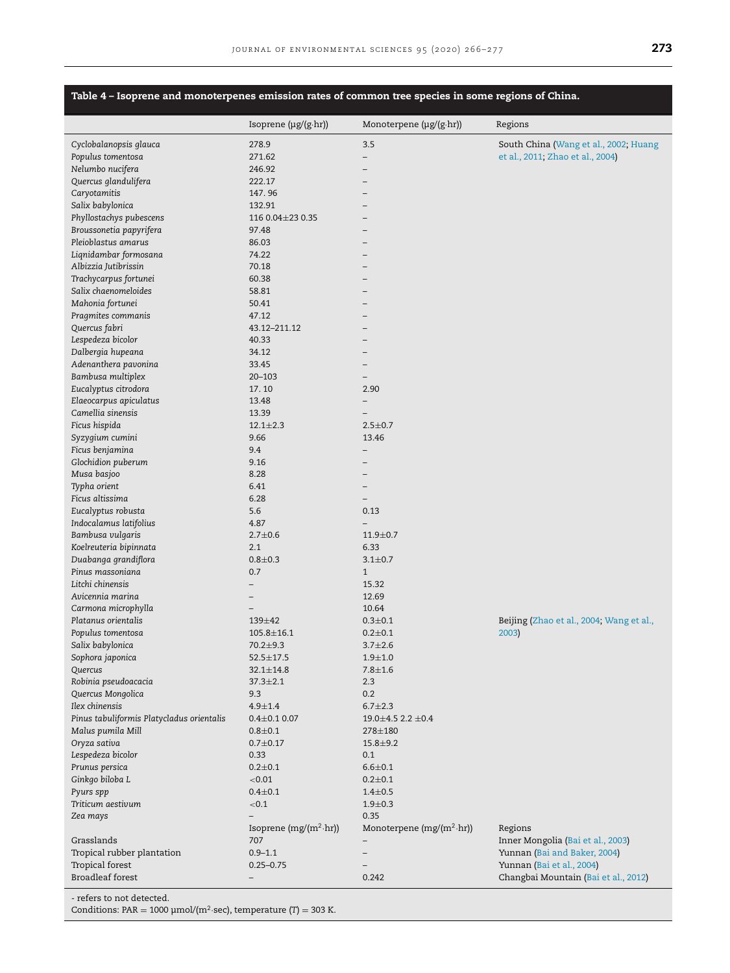## <span id="page-7-0"></span>**Table 4 – Isoprene and monoterpenes emission rates of common tree species in some regions of China.**

|                                           | Isoprene $(\mu g/(g \cdot hr))$ | Monoterpene $(\mu g/(g \cdot h r))$ | Regions                                  |
|-------------------------------------------|---------------------------------|-------------------------------------|------------------------------------------|
| Cyclobalanopsis glauca                    | 278.9                           | 3.5                                 | South China (Wang et al., 2002; Huang    |
| Populus tomentosa                         | 271.62                          | $-$                                 | et al., 2011; Zhao et al., 2004)         |
| Nelumbo nucifera                          | 246.92                          |                                     |                                          |
| Quercus glandulifera                      | 222.17                          |                                     |                                          |
| Caryotamitis                              | 147.96                          |                                     |                                          |
| Salix babylonica                          | 132.91                          |                                     |                                          |
| Phyllostachys pubescens                   | 116 0.04 ± 23 0.35              |                                     |                                          |
| Broussonetia papyrifera                   | 97.48                           |                                     |                                          |
| Pleioblastus amarus                       | 86.03                           |                                     |                                          |
| Liqnidambar formosana                     | 74.22                           |                                     |                                          |
| Albizzia Jutibrissin                      | 70.18                           |                                     |                                          |
| Trachycarpus fortunei                     | 60.38                           |                                     |                                          |
| Salix chaenomeloides                      | 58.81                           |                                     |                                          |
| Mahonia fortunei                          | 50.41                           |                                     |                                          |
| Pragmites commanis                        | 47.12                           |                                     |                                          |
| Quercus fabri                             | 43.12-211.12                    |                                     |                                          |
| Lespedeza bicolor                         | 40.33                           |                                     |                                          |
| Dalbergia hupeana                         | 34.12                           |                                     |                                          |
| Adenanthera pavonina                      | 33.45                           | -                                   |                                          |
| Bambusa multiplex                         | $20 - 103$                      | $\overline{\phantom{0}}$            |                                          |
| Eucalyptus citrodora                      | 17.10                           | 2.90                                |                                          |
| Elaeocarpus apiculatus                    | 13.48                           |                                     |                                          |
| Camellia sinensis                         | 13.39                           |                                     |                                          |
| Ficus hispida                             | $12.1 \pm 2.3$                  | $2.5 \pm 0.7$                       |                                          |
| Syzygium cumini                           | 9.66                            | 13.46                               |                                          |
| Ficus benjamina                           | 9.4                             |                                     |                                          |
| Glochidion puberum                        | 9.16                            |                                     |                                          |
| Musa basjoo                               | 8.28                            |                                     |                                          |
| Typha orient<br>Ficus altissima           | 6.41<br>6.28                    | $-$                                 |                                          |
| Eucalyptus robusta                        | 5.6                             | 0.13                                |                                          |
| Indocalamus latifolius                    | 4.87                            | $\overline{\phantom{0}}$            |                                          |
| Bambusa vulgaris                          | $2.7 + 0.6$                     | $11.9 \pm 0.7$                      |                                          |
| Koelreuteria bipinnata                    | 2.1                             | 6.33                                |                                          |
| Duabanga grandiflora                      | $0.8 + 0.3$                     | $3.1 \pm 0.7$                       |                                          |
| Pinus massoniana                          | 0.7                             | $\mathbf{1}$                        |                                          |
| Litchi chinensis                          | -                               | 15.32                               |                                          |
| Avicennia marina                          | $\qquad \qquad -$               | 12.69                               |                                          |
| Carmona microphylla                       | $\overline{\phantom{0}}$        | 10.64                               |                                          |
| Platanus orientalis                       | 139±42                          | $0.3 \pm 0.1$                       | Beijing (Zhao et al., 2004; Wang et al., |
| Populus tomentosa                         | $105.8 \pm 16.1$                | $0.2 \pm 0.1$                       | 2003)                                    |
| Salix babylonica                          | 70.2±9.3                        | $3.7 \pm 2.6$                       |                                          |
| Sophora japonica                          | $52.5 \pm 17.5$                 | $1.9 + 1.0$                         |                                          |
| Quercus                                   | $32.1 \pm 14.8$                 | $7.8 + 1.6$                         |                                          |
| Robinia pseudoacacia                      | $37.3 \pm 2.1$                  | 2.3                                 |                                          |
| Quercus Mongolica                         | 9.3                             | 0.2                                 |                                          |
| Ilex chinensis                            | $4.9 + 1.4$                     | $6.7 \pm 2.3$                       |                                          |
| Pinus tabuliformis Platycladus orientalis | $0.4 \pm 0.1$ 0.07              | $19.0 \pm 4.5$ 2.2 $\pm 0.4$        |                                          |
| Malus pumila Mill                         | $0.8 + 0.1$                     | 278±180                             |                                          |
| Oryza sativa                              | $0.7 + 0.17$                    | $15.8 + 9.2$                        |                                          |
| Lespedeza bicolor                         | 0.33                            | 0.1                                 |                                          |
| Prunus persica                            | $0.2 \pm 0.1$                   | $6.6 \pm 0.1$                       |                                          |
| Ginkgo biloba L                           | < 0.01                          | $0.2 \pm 0.1$                       |                                          |
| Pyurs spp                                 | $0.4 + 0.1$                     | $1.4 \pm 0.5$                       |                                          |
| Triticum aestivum                         | ${<}0.1$                        | $1.9 + 0.3$                         |                                          |
| Zea mays                                  |                                 | 0.35                                |                                          |
|                                           | Isoprene $(mg/(m^2 \cdot hr))$  | Monoterpene $(mg/(m^2 \cdot hr))$   | Regions                                  |
| Grasslands                                | 707                             |                                     | Inner Mongolia (Bai et al., 2003)        |
| Tropical rubber plantation                | $0.9 - 1.1$                     | $\overline{\phantom{0}}$            | Yunnan (Bai and Baker, 2004)             |
| Tropical forest                           | $0.25 - 0.75$                   |                                     | Yunnan (Bai et al., 2004)                |
| <b>Broadleaf forest</b>                   | $\overline{\phantom{0}}$        | 0.242                               | Changbai Mountain (Bai et al., 2012)     |

- refers to not detected.

Conditions: PAR =  $1000 \mu \text{mol/(m}^2\text{·sec)}$ , temperature (T) = 303 K.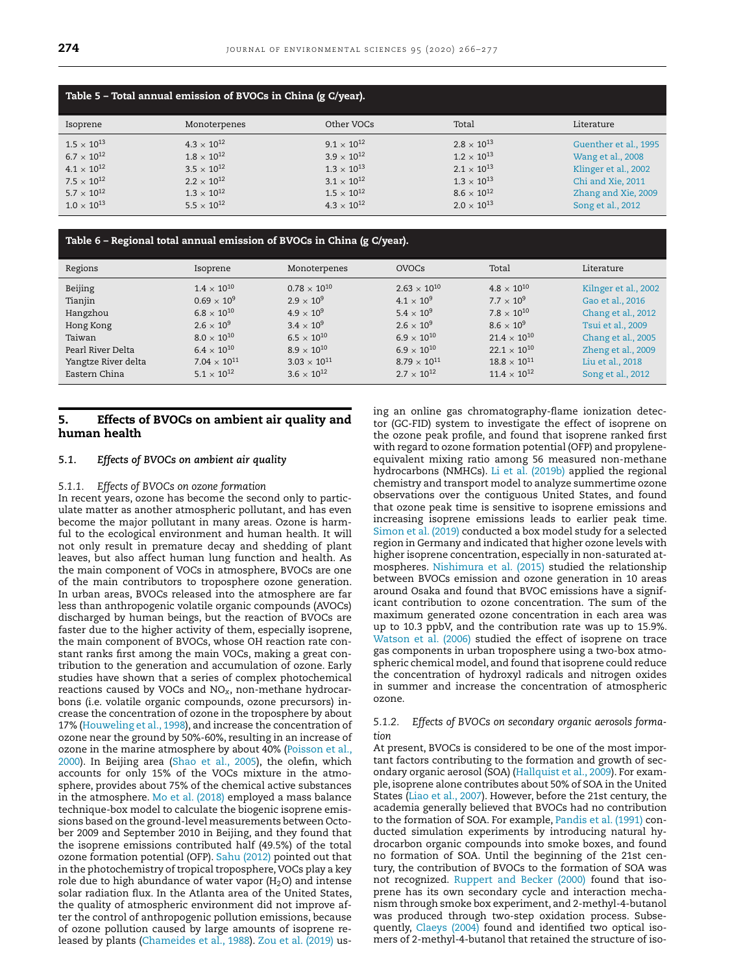<span id="page-8-0"></span>

| Table 5 – Total annual emission of BVOCs in China (g C/year).                                                                                |                                                                                                                                            |                                                                                                                                              |                                                                                                                                              |                                                                                                                                     |  |  |  |  |
|----------------------------------------------------------------------------------------------------------------------------------------------|--------------------------------------------------------------------------------------------------------------------------------------------|----------------------------------------------------------------------------------------------------------------------------------------------|----------------------------------------------------------------------------------------------------------------------------------------------|-------------------------------------------------------------------------------------------------------------------------------------|--|--|--|--|
| Isoprene                                                                                                                                     | Monoterpenes                                                                                                                               | Other VOCs                                                                                                                                   | Total                                                                                                                                        | Literature                                                                                                                          |  |  |  |  |
| $1.5 \times 10^{13}$<br>$6.7 \times 10^{12}$<br>$4.1 \times 10^{12}$<br>$7.5 \times 10^{12}$<br>$5.7 \times 10^{12}$<br>$1.0 \times 10^{13}$ | $4.3 \times 10^{12}$<br>$1.8\times10^{12}$<br>$3.5 \times 10^{12}$<br>$2.2 \times 10^{12}$<br>$1.3 \times 10^{12}$<br>$5.5 \times 10^{12}$ | $9.1 \times 10^{12}$<br>$3.9 \times 10^{12}$<br>$1.3 \times 10^{13}$<br>$3.1 \times 10^{12}$<br>$1.5 \times 10^{12}$<br>$4.3 \times 10^{12}$ | $2.8 \times 10^{13}$<br>$1.2 \times 10^{13}$<br>$2.1 \times 10^{13}$<br>$1.3 \times 10^{13}$<br>$8.6 \times 10^{12}$<br>$2.0 \times 10^{13}$ | Guenther et al., 1995<br>Wang et al., 2008<br>Klinger et al., 2002<br>Chi and Xie, 2011<br>Zhang and Xie, 2009<br>Song et al., 2012 |  |  |  |  |

## **Table 6 – Regional total annual emission of BVOCs in China (g C/year).**

| Regions             | Isoprene              | Monoterpenes          | <b>OVOCs</b>          | Total                 | Literature           |
|---------------------|-----------------------|-----------------------|-----------------------|-----------------------|----------------------|
| Beijing             | $1.4 \times 10^{10}$  | $0.78 \times 10^{10}$ | $2.63 \times 10^{10}$ | $4.8 \times 10^{10}$  | Kilnger et al., 2002 |
| Tianjin             | $0.69 \times 10^{9}$  | $2.9 \times 10^{9}$   | $4.1 \times 10^{9}$   | $7.7 \times 10^{9}$   | Gao et al., 2016     |
| Hangzhou            | $6.8 \times 10^{10}$  | $4.9 \times 10^{9}$   | $5.4 \times 10^{9}$   | $7.8 \times 10^{10}$  | Chang et al., 2012   |
| Hong Kong           | $2.6 \times 10^{9}$   | $3.4 \times 10^{9}$   | $2.6 \times 10^{9}$   | $8.6 \times 10^{9}$   | Tsui et al., 2009    |
| Taiwan              | $8.0 \times 10^{10}$  | $6.5 \times 10^{10}$  | $6.9 \times 10^{10}$  | $21.4 \times 10^{10}$ | Chang et al., 2005   |
| Pearl River Delta   | $6.4 \times 10^{10}$  | $8.9 \times 10^{10}$  | $6.9 \times 10^{10}$  | $22.1 \times 10^{10}$ | Zheng et al., 2009   |
| Yangtze River delta | $7.04 \times 10^{11}$ | $3.03 \times 10^{11}$ | $8.79 \times 10^{11}$ | $18.8 \times 10^{11}$ | Liu et al., 2018     |
| Eastern China       | $5.1 \times 10^{12}$  | $3.6 \times 10^{12}$  | $2.7 \times 10^{12}$  | $11.4 \times 10^{12}$ | Song et al., 2012    |

## **5. Effects of BVOCs on ambient air quality and human health**

## *5.1. Effects of BVOCs on ambient air quality*

#### *5.1.1. Effects of BVOCs on ozone formation*

In recent years, ozone has become the second only to particulate matter as another atmospheric pollutant, and has even become the major pollutant in many areas. Ozone is harmful to the ecological environment and human health. It will not only result in premature decay and shedding of plant leaves, but also affect human lung function and health. As the main component of VOCs in atmosphere, BVOCs are one of the main contributors to troposphere ozone generation. In urban areas, BVOCs released into the atmosphere are far less than anthropogenic volatile organic compounds (AVOCs) discharged by human beings, but the reaction of BVOCs are faster due to the higher activity of them, especially isoprene, the main component of BVOCs, whose OH reaction rate constant ranks first among the main VOCs, making a great contribution to the generation and accumulation of ozone. Early studies have shown that a series of complex photochemical reactions caused by VOCs and NO*x*, non-methane hydrocarbons (i.e. volatile organic compounds, ozone precursors) increase the concentration of ozone in the troposphere by about 17% [\(Houweling](#page-10-0) et al., 1998), and increase the concentration of ozone near the ground by 50%-60%, resulting in an increase of ozone in the marine [atmosphere](#page-11-0) by about 40% (Poisson et al., 2000). In Beijing area [\(Shao](#page-11-0) et al., 2005), the olefin, which accounts for only 15% of the VOCs mixture in the atmosphere, provides about 75% of the chemical active substances in the atmosphere. Mo et al. [\(2018\)](#page-11-0) employed a mass balance technique-box model to calculate the biogenic isoprene emissions based on the ground-level measurements between October 2009 and September 2010 in Beijing, and they found that the isoprene emissions contributed half (49.5%) of the total ozone formation potential (OFP). Sahu [\(2012\)](#page-11-0) pointed out that in the photochemistry of tropical troposphere, VOCs play a key role due to high abundance of water vapor ( $H<sub>2</sub>O$ ) and intense solar radiation flux. In the Atlanta area of the United States, the quality of atmospheric environment did not improve after the control of anthropogenic pollution emissions, because of ozone pollution caused by large amounts of isoprene released by plants [\(Chameides](#page-10-0) et al., 1988). Zou et al. [\(2019\)](#page-11-0) using an online gas chromatography-flame ionization detector (GC-FID) system to investigate the effect of isoprene on the ozone peak profile, and found that isoprene ranked first with regard to ozone formation potential (OFP) and propyleneequivalent mixing ratio among 56 measured non-methane hydrocarbons (NMHCs). Li et al. [\(2019b\)](#page-11-0) applied the regional chemistry and transport model to analyze summertime ozone observations over the contiguous United States, and found that ozone peak time is sensitive to isoprene emissions and increasing isoprene emissions leads to earlier peak time. [Simon](#page-11-0) et al. (2019) conducted a box model study for a selected region in Germany and indicated that higher ozone levels with higher isoprene concentration, especially in non-saturated atmospheres. [Nishimura](#page-11-0) et al. (2015) studied the relationship between BVOCs emission and ozone generation in 10 areas around Osaka and found that BVOC emissions have a significant contribution to ozone concentration. The sum of the maximum generated ozone concentration in each area was up to 10.3 ppbV, and the contribution rate was up to 15.9%. [Watson](#page-11-0) et al. (2006) studied the effect of isoprene on trace gas components in urban troposphere using a two-box atmospheric chemical model, and found that isoprene could reduce the concentration of hydroxyl radicals and nitrogen oxides in summer and increase the concentration of atmospheric ozone.

## *5.1.2. Effects of BVOCs on secondary organic aerosols formation*

At present, BVOCs is considered to be one of the most important factors contributing to the formation and growth of secondary organic aerosol (SOA) [\(Hallquist](#page-10-0) et al., 2009). For example, isoprene alone contributes about 50% of SOA in the United States (Liao et al., [2007\)](#page-11-0). However, before the 21st century, the academia generally believed that BVOCs had no contribution to the formation of SOA. For example, [Pandis](#page-11-0) et al. (1991) conducted simulation experiments by introducing natural hydrocarbon organic compounds into smoke boxes, and found no formation of SOA. Until the beginning of the 21st century, the contribution of BVOCs to the formation of SOA was not recognized. [Ruppert](#page-11-0) and Becker (2000) found that isoprene has its own secondary cycle and interaction mechanism through smoke box experiment, and 2-methyl-4-butanol was produced through two-step oxidation process. Subsequently, [Claeys](#page-10-0) (2004) found and identified two optical isomers of 2-methyl-4-butanol that retained the structure of iso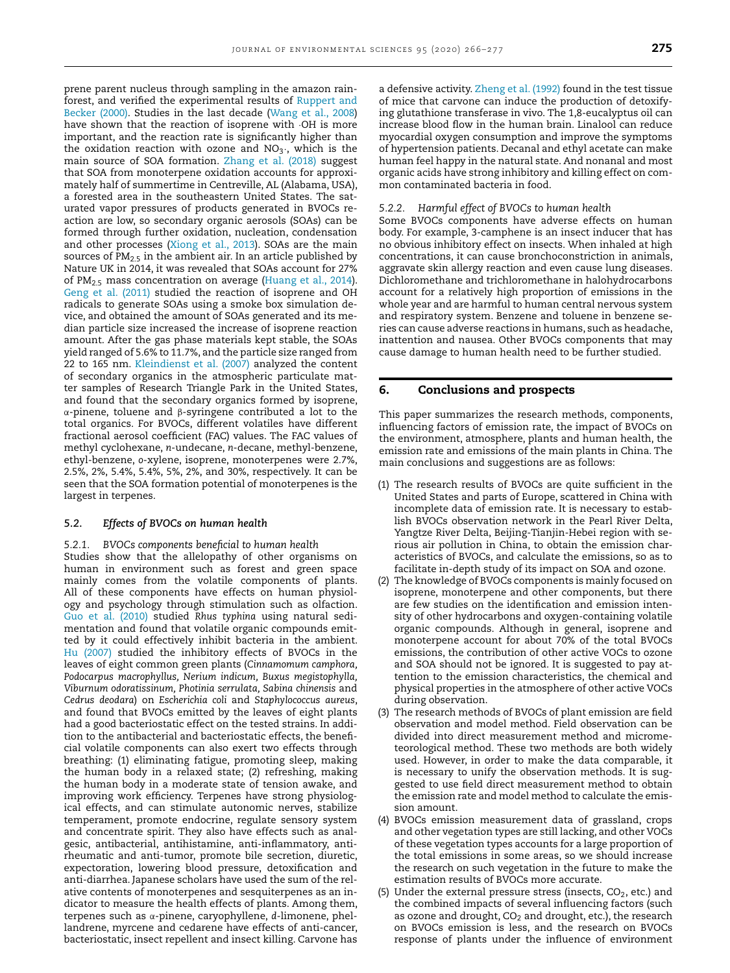prene parent nucleus through sampling in the amazon rainforest, and verified the [experimental](#page-11-0) results of Ruppert and Becker (2000). Studies in the last decade [\(Wang](#page-11-0) et al., 2008) have shown that the reaction of isoprene with ·OH is more important, and the reaction rate is significantly higher than the oxidation reaction with ozone and  $NO<sub>3</sub>$ , which is the main source of SOA formation. [Zhang](#page-11-0) et al. (2018) suggest that SOA from monoterpene oxidation accounts for approximately half of summertime in Centreville, AL (Alabama, USA), a forested area in the southeastern United States. The saturated vapor pressures of products generated in BVOCs reaction are low, so secondary organic aerosols (SOAs) can be formed through further oxidation, nucleation, condensation and other processes [\(Xiong](#page-11-0) et al., 2013). SOAs are the main sources of  $PM_{2.5}$  in the ambient air. In an article published by Nature UK in 2014, it was revealed that SOAs account for 27% of  $PM_{2.5}$  mass concentration on average [\(Huang](#page-10-0) et al., 2014). Geng et al. [\(2011\)](#page-10-0) studied the reaction of isoprene and OH radicals to generate SOAs using a smoke box simulation device, and obtained the amount of SOAs generated and its median particle size increased the increase of isoprene reaction amount. After the gas phase materials kept stable, the SOAs yield ranged of 5.6% to 11.7%, and the particle size ranged from 22 to 165 nm. [Kleindienst](#page-10-0) et al. (2007) analyzed the content of secondary organics in the atmospheric particulate matter samples of Research Triangle Park in the United States, and found that the secondary organics formed by isoprene, α-pinene, toluene and β-syringene contributed a lot to the total organics. For BVOCs, different volatiles have different fractional aerosol coefficient (FAC) values. The FAC values of methyl cyclohexane, *n*-undecane, *n*-decane, methyl-benzene, ethyl-benzene, *o*-xylene, isoprene, monoterpenes were 2.7%, 2.5%, 2%, 5.4%, 5.4%, 5%, 2%, and 30%, respectively. It can be seen that the SOA formation potential of monoterpenes is the largest in terpenes.

#### *5.2. Effects of BVOCs on human health*

*5.2.1. BVOCs components beneficial to human health* Studies show that the allelopathy of other organisms on human in environment such as forest and green space mainly comes from the volatile components of plants. All of these components have effects on human physiology and psychology through stimulation such as olfaction. Guo et al. [\(2010\)](#page-10-0) studied *Rhus typhina* using natural sedimentation and found that volatile organic compounds emitted by it could effectively inhibit bacteria in the ambient. Hu [\(2007\)](#page-10-0) studied the inhibitory effects of BVOCs in the leaves of eight common green plants (*Cinnamomum camphora, Podocarpus macrophyllus, Nerium indicum, Buxus megistophylla, Viburnum odoratissinum, Photinia serrulata, Sabina chinensis* and *Cedrus deodara*) on *Escherichia coli* and *Staphylococcus aureus*, and found that BVOCs emitted by the leaves of eight plants had a good bacteriostatic effect on the tested strains. In addition to the antibacterial and bacteriostatic effects, the beneficial volatile components can also exert two effects through breathing: (1) eliminating fatigue, promoting sleep, making the human body in a relaxed state; (2) refreshing, making the human body in a moderate state of tension awake, and improving work efficiency. Terpenes have strong physiological effects, and can stimulate autonomic nerves, stabilize temperament, promote endocrine, regulate sensory system and concentrate spirit. They also have effects such as analgesic, antibacterial, antihistamine, anti-inflammatory, antirheumatic and anti-tumor, promote bile secretion, diuretic, expectoration, lowering blood pressure, detoxification and anti-diarrhea. Japanese scholars have used the sum of the relative contents of monoterpenes and sesquiterpenes as an indicator to measure the health effects of plants. Among them, terpenes such as α-pinene, caryophyllene, *d*-limonene, phellandrene, myrcene and cedarene have effects of anti-cancer, bacteriostatic, insect repellent and insect killing. Carvone has

a defensive activity. [Zheng](#page-11-0) et al. (1992) found in the test tissue of mice that carvone can induce the production of detoxifying glutathione transferase in vivo. The 1,8-eucalyptus oil can increase blood flow in the human brain. Linalool can reduce myocardial oxygen consumption and improve the symptoms of hypertension patients. Decanal and ethyl acetate can make human feel happy in the natural state. And nonanal and most organic acids have strong inhibitory and killing effect on common contaminated bacteria in food.

#### *5.2.2. Harmful effect of BVOCs to human health*

Some BVOCs components have adverse effects on human body. For example, 3-camphene is an insect inducer that has no obvious inhibitory effect on insects. When inhaled at high concentrations, it can cause bronchoconstriction in animals, aggravate skin allergy reaction and even cause lung diseases. Dichloromethane and trichloromethane in halohydrocarbons account for a relatively high proportion of emissions in the whole year and are harmful to human central nervous system and respiratory system. Benzene and toluene in benzene series can cause adverse reactions in humans, such as headache, inattention and nausea. Other BVOCs components that may cause damage to human health need to be further studied.

## **6. Conclusions and prospects**

This paper summarizes the research methods, components, influencing factors of emission rate, the impact of BVOCs on the environment, atmosphere, plants and human health, the emission rate and emissions of the main plants in China. The main conclusions and suggestions are as follows:

- (1) The research results of BVOCs are quite sufficient in the United States and parts of Europe, scattered in China with incomplete data of emission rate. It is necessary to establish BVOCs observation network in the Pearl River Delta, Yangtze River Delta, Beijing-Tianjin-Hebei region with serious air pollution in China, to obtain the emission characteristics of BVOCs, and calculate the emissions, so as to facilitate in-depth study of its impact on SOA and ozone.
- (2) The knowledge of BVOCs components is mainly focused on isoprene, monoterpene and other components, but there are few studies on the identification and emission intensity of other hydrocarbons and oxygen-containing volatile organic compounds. Although in general, isoprene and monoterpene account for about 70% of the total BVOCs emissions, the contribution of other active VOCs to ozone and SOA should not be ignored. It is suggested to pay attention to the emission characteristics, the chemical and physical properties in the atmosphere of other active VOCs during observation.
- (3) The research methods of BVOCs of plant emission are field observation and model method. Field observation can be divided into direct measurement method and micrometeorological method. These two methods are both widely used. However, in order to make the data comparable, it is necessary to unify the observation methods. It is suggested to use field direct measurement method to obtain the emission rate and model method to calculate the emission amount.
- (4) BVOCs emission measurement data of grassland, crops and other vegetation types are still lacking, and other VOCs of these vegetation types accounts for a large proportion of the total emissions in some areas, so we should increase the research on such vegetation in the future to make the estimation results of BVOCs more accurate.
- (5) Under the external pressure stress (insects,  $CO<sub>2</sub>$ , etc.) and the combined impacts of several influencing factors (such as ozone and drought,  $CO<sub>2</sub>$  and drought, etc.), the research on BVOCs emission is less, and the research on BVOCs response of plants under the influence of environment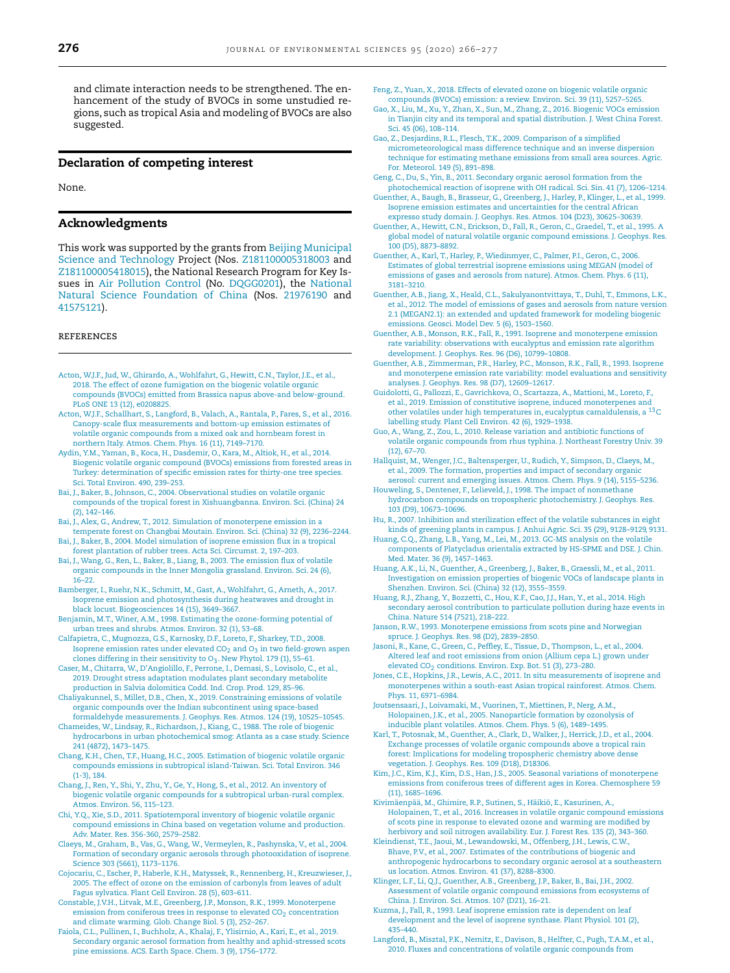<span id="page-10-0"></span>and climate interaction needs to be strengthened. The enhancement of the study of BVOCs in some unstudied regions, such as tropical Asia and modeling of BVOCs are also suggested.

## **Declaration of competing interest**

None.

## **Acknowledgments**

This work was supported by the grants from Beijing Municipal Science and Technology Project (Nos. [Z181100005318003](https://doi.org/10.13039/501100009592) and Z181100005418015), the National Research Program for Key Issues in Air [Pollution](https://doi.org/10.13039/501100011281) Control (No. [DQGG0201\),](https://doi.org/10.13039/501100001809) the National Natural Science Foundation of China (Nos. 21976190 and 41575121).

#### references

- [Acton,](http://refhub.elsevier.com/S1001-0742(20)30192-3/sbref0001) W.J.F., [Jud,](http://refhub.elsevier.com/S1001-0742(20)30192-3/sbref0001) W., [Ghirardo,](http://refhub.elsevier.com/S1001-0742(20)30192-3/sbref0001) A., [Wohlfahrt,](http://refhub.elsevier.com/S1001-0742(20)30192-3/sbref0001) G., [Hewitt,](http://refhub.elsevier.com/S1001-0742(20)30192-3/sbref0001) C.N., [Taylor,](http://refhub.elsevier.com/S1001-0742(20)30192-3/sbref0001) J.E., et [al.,](http://refhub.elsevier.com/S1001-0742(20)30192-3/sbref0001) 2018. The effect of ozone fumigation on the biogenic volatile organic compounds (BVOCs) emitted from Brassica napus above-and [below-ground.](http://refhub.elsevier.com/S1001-0742(20)30192-3/sbref0001) PLoS ONE 13 (12), e0208825.
- [Acton,](http://refhub.elsevier.com/S1001-0742(20)30192-3/sbref0002) [W.J.F., Schallhart,](http://refhub.elsevier.com/S1001-0742(20)30192-3/sbref0002) S., [Langford,](http://refhub.elsevier.com/S1001-0742(20)30192-3/sbref0002) B., [Valach,](http://refhub.elsevier.com/S1001-0742(20)30192-3/sbref0002) A., [Rantala,](http://refhub.elsevier.com/S1001-0742(20)30192-3/sbref0002) P.[, Fares,](http://refhub.elsevier.com/S1001-0742(20)30192-3/sbref0002) S., [et al.,](http://refhub.elsevier.com/S1001-0742(20)30192-3/sbref0002) 2016. Canopy-scale flux measurements and bottom-up emission estimates of volatile organic compounds from a mixed oak and hornbeam forest in northern Italy. Atmos. Chem. Phys. 16 (11), 7149–7170.
- [Aydin,](http://refhub.elsevier.com/S1001-0742(20)30192-3/sbref0003) Y.M., [Yaman,](http://refhub.elsevier.com/S1001-0742(20)30192-3/sbref0003) B., [Koca,](http://refhub.elsevier.com/S1001-0742(20)30192-3/sbref0003) H., [Dasdemir,](http://refhub.elsevier.com/S1001-0742(20)30192-3/sbref0003) O., [Kara,](http://refhub.elsevier.com/S1001-0742(20)30192-3/sbref0003) M., [Altiok,](http://refhub.elsevier.com/S1001-0742(20)30192-3/sbref0003) H., [et al.,](http://refhub.elsevier.com/S1001-0742(20)30192-3/sbref0003) 2014. Biogenic volatile organic compound (BVOCs) emissions from forested areas in Turkey: [determination](http://refhub.elsevier.com/S1001-0742(20)30192-3/sbref0003) of specific emission rates for thirty-one tree species. Sci. Total Environ. 490, 239–253.
- [Bai,](http://refhub.elsevier.com/S1001-0742(20)30192-3/sbref0004) J., [Baker,](http://refhub.elsevier.com/S1001-0742(20)30192-3/sbref0004) B., [Johnson,](http://refhub.elsevier.com/S1001-0742(20)30192-3/sbref0004) C., 2004. Observational studies on volatile organic compounds of the tropical forest in [Xishuangbanna.](http://refhub.elsevier.com/S1001-0742(20)30192-3/sbref0004) Environ. Sci. (China) 24 (2), 142–146.
- [Bai,](http://refhub.elsevier.com/S1001-0742(20)30192-3/sbref0005) J., [Alex,](http://refhub.elsevier.com/S1001-0742(20)30192-3/sbref0005) G., [Andrew,](http://refhub.elsevier.com/S1001-0742(20)30192-3/sbref0005) T., 2012. Simulation of [monoterpene](http://refhub.elsevier.com/S1001-0742(20)30192-3/sbref0005) emission in a temperate forest on Changbai Moutain. Environ. Sci. (China) 32 (9), 2236–2244.
- [Bai,](http://refhub.elsevier.com/S1001-0742(20)30192-3/sbref0006) J., [Baker,](http://refhub.elsevier.com/S1001-0742(20)30192-3/sbref0006) B., 2004. Model [simulation](http://refhub.elsevier.com/S1001-0742(20)30192-3/sbref0006) of isoprene emission flux in a tropical forest plantation of rubber trees. Acta Sci. Circumst. 2, 197–203.
- [Bai,](http://refhub.elsevier.com/S1001-0742(20)30192-3/sbref0007) J., [Wang,](http://refhub.elsevier.com/S1001-0742(20)30192-3/sbref0007) G., [Ren,](http://refhub.elsevier.com/S1001-0742(20)30192-3/sbref0007) L., [Baker,](http://refhub.elsevier.com/S1001-0742(20)30192-3/sbref0007) B., [Liang,](http://refhub.elsevier.com/S1001-0742(20)30192-3/sbref0007) B., 2003. The emission flux of volatile organic [compounds](http://refhub.elsevier.com/S1001-0742(20)30192-3/sbref0007) in the Inner Mongolia grassland. Environ. Sci. 24 (6), 16–22.
- [Bamberger,](http://refhub.elsevier.com/S1001-0742(20)30192-3/sbref0008) I., [Ruehr,](http://refhub.elsevier.com/S1001-0742(20)30192-3/sbref0008) N.K., [Schmitt,](http://refhub.elsevier.com/S1001-0742(20)30192-3/sbref0008) M., [Gast,](http://refhub.elsevier.com/S1001-0742(20)30192-3/sbref0008) A.[, Wohlfahrt,](http://refhub.elsevier.com/S1001-0742(20)30192-3/sbref0008) G., [Arneth,](http://refhub.elsevier.com/S1001-0742(20)30192-3/sbref0008) A., 2017. Isoprene emission and [photosynthesis](http://refhub.elsevier.com/S1001-0742(20)30192-3/sbref0008) during heatwaves and drought in black locust. Biogeosciences 14 (15), 3649–3667.
- [Benjamin,](http://refhub.elsevier.com/S1001-0742(20)30192-3/sbref0009) M.T., [Winer,](http://refhub.elsevier.com/S1001-0742(20)30192-3/sbref0009) A.M., 1998. Estimating the [ozone-forming](http://refhub.elsevier.com/S1001-0742(20)30192-3/sbref0009) potential of urban trees and shrubs. Atmos. Environ. 32 (1), 53–68.
- [Calfapietra,](http://refhub.elsevier.com/S1001-0742(20)30192-3/sbref0010) C., [Mugnozza,](http://refhub.elsevier.com/S1001-0742(20)30192-3/sbref0010) [G.S., Karnosky,](http://refhub.elsevier.com/S1001-0742(20)30192-3/sbref0010) D.F., [Loreto,](http://refhub.elsevier.com/S1001-0742(20)30192-3/sbref0010) F., [Sharkey,](http://refhub.elsevier.com/S1001-0742(20)30192-3/sbref0010) T.D., 2008. Isoprene emission rates under elevated  $CO<sub>2</sub>$  and  $O<sub>3</sub>$  in two field-grown aspen clones differing in their sensitivity to  $O_3$ . New Phytol. 179 (1), 55–61.
- [Caser,](http://refhub.elsevier.com/S1001-0742(20)30192-3/sbref0011) M., [Chitarra,](http://refhub.elsevier.com/S1001-0742(20)30192-3/sbref0011) [W., D'Angiolillo,](http://refhub.elsevier.com/S1001-0742(20)30192-3/sbref0011) F., [Perrone,](http://refhub.elsevier.com/S1001-0742(20)30192-3/sbref0011) I., [Demasi,](http://refhub.elsevier.com/S1001-0742(20)30192-3/sbref0011) S., [Lovisolo,](http://refhub.elsevier.com/S1001-0742(20)30192-3/sbref0011) C., [et al.,](http://refhub.elsevier.com/S1001-0742(20)30192-3/sbref0011) 2019. Drought stress adaptation modulates plant secondary metabolite production in Salvia dolomitica Codd. Ind. Crop. Prod. 129, 85–96.
- [Chaliyakunnel,](http://refhub.elsevier.com/S1001-0742(20)30192-3/sbref0012) S., [Millet,](http://refhub.elsevier.com/S1001-0742(20)30192-3/sbref0012) D.B., [Chen,](http://refhub.elsevier.com/S1001-0742(20)30192-3/sbref0012) X., 2019. Constraining emissions of volatile organic compounds over the Indian subcontinent using space-based formaldehyde [measurements.](http://refhub.elsevier.com/S1001-0742(20)30192-3/sbref0012) J. Geophys. Res. Atmos. 124 (19), 10525–10545.
- [Chameides,](http://refhub.elsevier.com/S1001-0742(20)30192-3/sbref0013) W., [Lindsay,](http://refhub.elsevier.com/S1001-0742(20)30192-3/sbref0013) R., [Richardson,](http://refhub.elsevier.com/S1001-0742(20)30192-3/sbref0013) J.[, Kiang,](http://refhub.elsevier.com/S1001-0742(20)30192-3/sbref0013) C., 1988. The role of biogenic hydrocarbons in urban [photochemical](http://refhub.elsevier.com/S1001-0742(20)30192-3/sbref0013) smog: Atlanta as a case study. Science 241 (4872), 1473–1475.
- [Chang,](http://refhub.elsevier.com/S1001-0742(20)30192-3/sbref0014) K.H., [Chen,](http://refhub.elsevier.com/S1001-0742(20)30192-3/sbref0014) T.F., [Huang,](http://refhub.elsevier.com/S1001-0742(20)30192-3/sbref0014) H.C., 2005. Estimation of biogenic volatile organic compounds emissions in subtropical [island-Taiwan.](http://refhub.elsevier.com/S1001-0742(20)30192-3/sbref0014) Sci. Total Environ. 346 (1-3), 184.
- [Chang,](http://refhub.elsevier.com/S1001-0742(20)30192-3/sbref0015) J., [Ren,](http://refhub.elsevier.com/S1001-0742(20)30192-3/sbref0015) Y., [Shi,](http://refhub.elsevier.com/S1001-0742(20)30192-3/sbref0015) Y., [Zhu,](http://refhub.elsevier.com/S1001-0742(20)30192-3/sbref0015) Y., [Ge,](http://refhub.elsevier.com/S1001-0742(20)30192-3/sbref0015) Y.[, Hong,](http://refhub.elsevier.com/S1001-0742(20)30192-3/sbref0015) S., [et al.,](http://refhub.elsevier.com/S1001-0742(20)30192-3/sbref0015) 2012. [An inventory](http://refhub.elsevier.com/S1001-0742(20)30192-3/sbref0015) of biogenic volatile organic compounds for a subtropical urban-rural complex. Atmos. Environ. 56, 115–123.
- Chi, [Y.Q., Xie,](http://refhub.elsevier.com/S1001-0742(20)30192-3/sbref0016) S.D., 2011. [Spatiotemporal](http://refhub.elsevier.com/S1001-0742(20)30192-3/sbref0016) inventory of biogenic volatile organic compound emissions in China based on vegetation volume and production. Adv. Mater. Res. 356-360, 2579–2582.
- [Claeys,](http://refhub.elsevier.com/S1001-0742(20)30192-3/sbref0017) M., [Graham,](http://refhub.elsevier.com/S1001-0742(20)30192-3/sbref0017) B., [Vas,](http://refhub.elsevier.com/S1001-0742(20)30192-3/sbref0017) G., [Wang,](http://refhub.elsevier.com/S1001-0742(20)30192-3/sbref0017) W., [Vermeylen,](http://refhub.elsevier.com/S1001-0742(20)30192-3/sbref0017) R., [Pashynska,](http://refhub.elsevier.com/S1001-0742(20)30192-3/sbref0017) V., [et al.,](http://refhub.elsevier.com/S1001-0742(20)30192-3/sbref0017) 2004. Formation of secondary organic aerosols through [photooxidation](http://refhub.elsevier.com/S1001-0742(20)30192-3/sbref0017) of isoprene. Science 303 (5661), 1173–1176.
- [Cojocariu,](http://refhub.elsevier.com/S1001-0742(20)30192-3/sbref0018) C., [Escher,](http://refhub.elsevier.com/S1001-0742(20)30192-3/sbref0018) P., [Haberle,](http://refhub.elsevier.com/S1001-0742(20)30192-3/sbref0018) K.H., [Matyssek,](http://refhub.elsevier.com/S1001-0742(20)30192-3/sbref0018) R., [Rennenberg,](http://refhub.elsevier.com/S1001-0742(20)30192-3/sbref0018) [H., Kreuzwieser,](http://refhub.elsevier.com/S1001-0742(20)30192-3/sbref0018) J., 2005. The effect of ozone on the emission of carbonyls from leaves of adult Fagus sylvatica. Plant Cell Environ. 28 (5), 603–611.
- [Constable,](http://refhub.elsevier.com/S1001-0742(20)30192-3/sbref0019) J.V.H., [Litvak,](http://refhub.elsevier.com/S1001-0742(20)30192-3/sbref0019) [M.E., Greenberg,](http://refhub.elsevier.com/S1001-0742(20)30192-3/sbref0019) J.P., [Monson,](http://refhub.elsevier.com/S1001-0742(20)30192-3/sbref0019) R.K., 1999. Monoterpene emission from coniferous trees in response to elevated  $CO<sub>2</sub>$  concentration
- and climate warming. Glob. Change Biol. 5 (3), 252–267. [Faiola,](http://refhub.elsevier.com/S1001-0742(20)30192-3/sbref0020) C.L., [Pullinen,](http://refhub.elsevier.com/S1001-0742(20)30192-3/sbref0020) I., [Buchholz,](http://refhub.elsevier.com/S1001-0742(20)30192-3/sbref0020) A., [Khalaj,](http://refhub.elsevier.com/S1001-0742(20)30192-3/sbref0020) F., [Ylisirnio,](http://refhub.elsevier.com/S1001-0742(20)30192-3/sbref0020) A., [Kari,](http://refhub.elsevier.com/S1001-0742(20)30192-3/sbref0020) E., [et al.,](http://refhub.elsevier.com/S1001-0742(20)30192-3/sbref0020) 2019. Secondary organic aerosol formation from healthy and [aphid-stressed](http://refhub.elsevier.com/S1001-0742(20)30192-3/sbref0020) scots pine emissions. ACS. Earth Space. Chem. 3 (9), 1756–1772.
- [Feng,](http://refhub.elsevier.com/S1001-0742(20)30192-3/sbref0021) Z., [Yuan,](http://refhub.elsevier.com/S1001-0742(20)30192-3/sbref0021) X., 2018. Effects of elevated ozone on biogenic volatile organic [compounds](http://refhub.elsevier.com/S1001-0742(20)30192-3/sbref0021) (BVOCs) emission: a review. Environ. Sci. 39 (11), 5257–5265.
- [Gao,](http://refhub.elsevier.com/S1001-0742(20)30192-3/sbref0022) X., [Liu,](http://refhub.elsevier.com/S1001-0742(20)30192-3/sbref0022) M., [Xu,](http://refhub.elsevier.com/S1001-0742(20)30192-3/sbref0022) Y., [Zhan,](http://refhub.elsevier.com/S1001-0742(20)30192-3/sbref0022) X., [Sun,](http://refhub.elsevier.com/S1001-0742(20)30192-3/sbref0022) M., [Zhang,](http://refhub.elsevier.com/S1001-0742(20)30192-3/sbref0022) Z., 2016. Biogenic VOCs emission in Tianjin city and its temporal and spatial [distribution.](http://refhub.elsevier.com/S1001-0742(20)30192-3/sbref0022) J. West China Forest. Sci. 45 (06), 108–114.
- [Gao,](http://refhub.elsevier.com/S1001-0742(20)30192-3/sbref0023) Z., [Desjardins,](http://refhub.elsevier.com/S1001-0742(20)30192-3/sbref0023) R.L., [Flesch,](http://refhub.elsevier.com/S1001-0742(20)30192-3/sbref0023) T.K., 2009. Comparison of a simplified [micrometeorological](http://refhub.elsevier.com/S1001-0742(20)30192-3/sbref0023) mass difference technique and an inverse dispersion technique for estimating methane emissions from small area sources. Agric. For. Meteorol. 149 (5), 891–898.
- [Geng,](http://refhub.elsevier.com/S1001-0742(20)30192-3/sbref0024) C., [Du,](http://refhub.elsevier.com/S1001-0742(20)30192-3/sbref0024) S., [Yin,](http://refhub.elsevier.com/S1001-0742(20)30192-3/sbref0024) B., 2011. Secondary organic aerosol formation from the [photochemical](http://refhub.elsevier.com/S1001-0742(20)30192-3/sbref0024) reaction of isoprene with OH radical. Sci. Sin. 41 (7), 1206–1214.
- [Guenther,](http://refhub.elsevier.com/S1001-0742(20)30192-3/sbref0025) A., [Baugh,](http://refhub.elsevier.com/S1001-0742(20)30192-3/sbref0025) B., [Brasseur,](http://refhub.elsevier.com/S1001-0742(20)30192-3/sbref0025) [G., Greenberg,](http://refhub.elsevier.com/S1001-0742(20)30192-3/sbref0025) J., [Harley,](http://refhub.elsevier.com/S1001-0742(20)30192-3/sbref0025) P., [Klinger,](http://refhub.elsevier.com/S1001-0742(20)30192-3/sbref0025) L., [et al.,](http://refhub.elsevier.com/S1001-0742(20)30192-3/sbref0025) 1999. Isoprene emission estimates and uncertainties for the central African expresso study domain. J. Geophys. Res. Atmos. 104 (D23), 30625–30639.
- [Guenther,](http://refhub.elsevier.com/S1001-0742(20)30192-3/sbref0026) A., [Hewitt,](http://refhub.elsevier.com/S1001-0742(20)30192-3/sbref0026) [C.N., Erickson,](http://refhub.elsevier.com/S1001-0742(20)30192-3/sbref0026) D.[, Fall,](http://refhub.elsevier.com/S1001-0742(20)30192-3/sbref0026) R., [Geron,](http://refhub.elsevier.com/S1001-0742(20)30192-3/sbref0026) C., [Graedel,](http://refhub.elsevier.com/S1001-0742(20)30192-3/sbref0026) T., [et al.,](http://refhub.elsevier.com/S1001-0742(20)30192-3/sbref0026) 1995. A global model of natural volatile organic compound emissions. J. Geophys. Res. 100 (D5), 8873–8892.
- [Guenther,](http://refhub.elsevier.com/S1001-0742(20)30192-3/sbref0027) A., [Karl,](http://refhub.elsevier.com/S1001-0742(20)30192-3/sbref0027) T., [Harley,](http://refhub.elsevier.com/S1001-0742(20)30192-3/sbref0027) [P., Wiedinmyer,](http://refhub.elsevier.com/S1001-0742(20)30192-3/sbref0027) C., [Palmer,](http://refhub.elsevier.com/S1001-0742(20)30192-3/sbref0027) P.I., [Geron,](http://refhub.elsevier.com/S1001-0742(20)30192-3/sbref0027) C., 2006. Estimates of global terrestrial isoprene emissions using MEGAN (model of emissions of gases and aerosols from nature). Atmos. Chem. Phys. 6 (11), 3181–3210.
- [Guenther,](http://refhub.elsevier.com/S1001-0742(20)30192-3/sbref0028) A.B., [Jiang,](http://refhub.elsevier.com/S1001-0742(20)30192-3/sbref0028) X., [Heald,](http://refhub.elsevier.com/S1001-0742(20)30192-3/sbref0028) C.L., [Sakulyanontvittaya,](http://refhub.elsevier.com/S1001-0742(20)30192-3/sbref0028) T., [Duhl,](http://refhub.elsevier.com/S1001-0742(20)30192-3/sbref0028) T., [Emmons,](http://refhub.elsevier.com/S1001-0742(20)30192-3/sbref0028) L.K., et [al.,](http://refhub.elsevier.com/S1001-0742(20)30192-3/sbref0028) 2012. The model of emissions of gases and aerosols from nature version 2.1 [\(MEGAN2.1\):](http://refhub.elsevier.com/S1001-0742(20)30192-3/sbref0028) an extended and updated framework for modeling biogenic emissions. Geosci. Model Dev. 5 (6), 1503–1560.
- [Guenther,](http://refhub.elsevier.com/S1001-0742(20)30192-3/sbref0029) A.B., [Monson,](http://refhub.elsevier.com/S1001-0742(20)30192-3/sbref0029) R.K., [Fall,](http://refhub.elsevier.com/S1001-0742(20)30192-3/sbref0029) R., 1991. Isoprene and monoterpene emission rate variability: observations with eucalyptus and emission rate algorithm [development.](http://refhub.elsevier.com/S1001-0742(20)30192-3/sbref0029) J. Geophys. Res. 96 (D6), 10799–10808.
- [Guenther,](http://refhub.elsevier.com/S1001-0742(20)30192-3/sbref0030) [A.B., Zimmerman,](http://refhub.elsevier.com/S1001-0742(20)30192-3/sbref0030) P.R., [Harley,](http://refhub.elsevier.com/S1001-0742(20)30192-3/sbref0030) P.C., [Monson,](http://refhub.elsevier.com/S1001-0742(20)30192-3/sbref0030) R.K., [Fall,](http://refhub.elsevier.com/S1001-0742(20)30192-3/sbref0030) R., 1993. Isoprene and monoterpene emission rate variability: model evaluations and sensitivity analyses. J. Geophys. Res. 98 (D7), 12609–12617.
- [Guidolotti,](http://refhub.elsevier.com/S1001-0742(20)30192-3/sbref0031) G., [Pallozzi,](http://refhub.elsevier.com/S1001-0742(20)30192-3/sbref0031) E., [Gavrichkova,](http://refhub.elsevier.com/S1001-0742(20)30192-3/sbref0031) O., [Scartazza,](http://refhub.elsevier.com/S1001-0742(20)30192-3/sbref0031) A., [Mattioni,](http://refhub.elsevier.com/S1001-0742(20)30192-3/sbref0031) M., [Loreto,](http://refhub.elsevier.com/S1001-0742(20)30192-3/sbref0031) F., et [al.,](http://refhub.elsevier.com/S1001-0742(20)30192-3/sbref0031) 2019. Emission of constitutive isoprene, induced monoterpenes and other volatiles under high temperatures in, eucalyptus [camaldulensis,](http://refhub.elsevier.com/S1001-0742(20)30192-3/sbref0031) a 13C labelling study. Plant Cell Environ. 42 (6), 1929–1938.
- [Guo,](http://refhub.elsevier.com/S1001-0742(20)30192-3/sbref0032) A., [Wang,](http://refhub.elsevier.com/S1001-0742(20)30192-3/sbref0032) Z., [Zou,](http://refhub.elsevier.com/S1001-0742(20)30192-3/sbref0032) L., 2010. Release variation and antibiotic functions of volatile organic [compounds](http://refhub.elsevier.com/S1001-0742(20)30192-3/sbref0032) from rhus typhina. J. Northeast Forestry Univ. 39 (12), 67–70.

[Hallquist,](http://refhub.elsevier.com/S1001-0742(20)30192-3/sbref0033) M.[, Wenger,](http://refhub.elsevier.com/S1001-0742(20)30192-3/sbref0033) J.C., [Baltensperger,](http://refhub.elsevier.com/S1001-0742(20)30192-3/sbref0033) U., [Rudich,](http://refhub.elsevier.com/S1001-0742(20)30192-3/sbref0033) Y.[, Simpson,](http://refhub.elsevier.com/S1001-0742(20)30192-3/sbref0033) D., [Claeys,](http://refhub.elsevier.com/S1001-0742(20)30192-3/sbref0033) M., et [al.,](http://refhub.elsevier.com/S1001-0742(20)30192-3/sbref0033) 2009. The formation, properties and impact of secondary organic aerosol: current and emerging issues. Atmos. Chem. Phys. 9 (14), [5155–5236.](http://refhub.elsevier.com/S1001-0742(20)30192-3/sbref0033)

- [Houweling,](http://refhub.elsevier.com/S1001-0742(20)30192-3/sbref0034) S., [Dentener,](http://refhub.elsevier.com/S1001-0742(20)30192-3/sbref0034) F.[, Lelieveld,](http://refhub.elsevier.com/S1001-0742(20)30192-3/sbref0034) J., 1998. The impact of nonmethane hydrocarbon compounds on tropospheric [photochemistry.](http://refhub.elsevier.com/S1001-0742(20)30192-3/sbref0034) J. Geophys. Res. 103 (D9), 10673–10696.
- [Hu,](http://refhub.elsevier.com/S1001-0742(20)30192-3/sbref0035) R., 2007. Inhibition and [sterilization](http://refhub.elsevier.com/S1001-0742(20)30192-3/sbref0035) effect of the volatile substances in eight kinds of greening plants in campus. J. Anhui Agric. Sci. 35 (29), 9128–9129, 9131.
- [Huang,](http://refhub.elsevier.com/S1001-0742(20)30192-3/sbref0037) C.Q., [Zhang,](http://refhub.elsevier.com/S1001-0742(20)30192-3/sbref0037) L.B., [Yang,](http://refhub.elsevier.com/S1001-0742(20)30192-3/sbref0037) M., [Lei,](http://refhub.elsevier.com/S1001-0742(20)30192-3/sbref0037) M., 2013. GC-MS analysis on the volatile [components](http://refhub.elsevier.com/S1001-0742(20)30192-3/sbref0037) of Platycladus orientalis extracted by HS-SPME and DSE. J. Chin. Med. Mater. 36 (9), 1457–1463.
- [Huang,](http://refhub.elsevier.com/S1001-0742(20)30192-3/sbref0036) A.K., [Li,](http://refhub.elsevier.com/S1001-0742(20)30192-3/sbref0036) N., [Guenther,](http://refhub.elsevier.com/S1001-0742(20)30192-3/sbref0036) [A., Greenberg,](http://refhub.elsevier.com/S1001-0742(20)30192-3/sbref0036) J., [Baker,](http://refhub.elsevier.com/S1001-0742(20)30192-3/sbref0036) B., [Graessli,](http://refhub.elsevier.com/S1001-0742(20)30192-3/sbref0036) M., [et al.,](http://refhub.elsevier.com/S1001-0742(20)30192-3/sbref0036) 2011. Investigation on emission properties of biogenic VOCs of landscape plants in Shenzhen. Environ. Sci. (China) 32 (12), 3555–3559.
- [Huang,](http://refhub.elsevier.com/S1001-0742(20)30192-3/sbref0038) R.J., [Zhang,](http://refhub.elsevier.com/S1001-0742(20)30192-3/sbref0038) Y., [Bozzetti,](http://refhub.elsevier.com/S1001-0742(20)30192-3/sbref0038) C., [Hou,](http://refhub.elsevier.com/S1001-0742(20)30192-3/sbref0038) K.F., [Cao,](http://refhub.elsevier.com/S1001-0742(20)30192-3/sbref0038) J.J., [Han,](http://refhub.elsevier.com/S1001-0742(20)30192-3/sbref0038) Y., [et al.,](http://refhub.elsevier.com/S1001-0742(20)30192-3/sbref0038) 2014. High secondary aerosol [contribution](http://refhub.elsevier.com/S1001-0742(20)30192-3/sbref0038) to particulate pollution during haze events in China. Nature 514 (7521), 218–222.
- [Janson,](http://refhub.elsevier.com/S1001-0742(20)30192-3/sbref0039) R.W., 1993. [Monoterpene](http://refhub.elsevier.com/S1001-0742(20)30192-3/sbref0039) emissions from scots pine and Norwegian spruce. J. Geophys. Res. 98 (D2), 2839–2850.
- [Jasoni,](http://refhub.elsevier.com/S1001-0742(20)30192-3/sbref0040) R., [Kane,](http://refhub.elsevier.com/S1001-0742(20)30192-3/sbref0040) C., [Green,](http://refhub.elsevier.com/S1001-0742(20)30192-3/sbref0040) C., [Peffley,](http://refhub.elsevier.com/S1001-0742(20)30192-3/sbref0040) E., [Tissue,](http://refhub.elsevier.com/S1001-0742(20)30192-3/sbref0040) [D., Thompson,](http://refhub.elsevier.com/S1001-0742(20)30192-3/sbref0040) L., [et al.,](http://refhub.elsevier.com/S1001-0742(20)30192-3/sbref0040) 2004. Altered leaf and root emissions from onion (Allium cepa L.) grown under elevated  $CO<sub>2</sub>$  conditions. Environ. Exp. Bot. 51 (3), 273-280.
- [Jones,](http://refhub.elsevier.com/S1001-0742(20)30192-3/sbref0041) C.E., [Hopkins,](http://refhub.elsevier.com/S1001-0742(20)30192-3/sbref0041) J.R., [Lewis,](http://refhub.elsevier.com/S1001-0742(20)30192-3/sbref0041) A.C., 2011. In situ [measurements](http://refhub.elsevier.com/S1001-0742(20)30192-3/sbref0041) of isoprene and monoterpenes within a south-east Asian tropical rainforest. Atmos. Chem. Phys. 11, 6971–6984.
- [Joutsensaari,](http://refhub.elsevier.com/S1001-0742(20)30192-3/sbref0042) J., [Loivamaki,](http://refhub.elsevier.com/S1001-0742(20)30192-3/sbref0042) M., [Vuorinen,](http://refhub.elsevier.com/S1001-0742(20)30192-3/sbref0042) T., [Miettinen,](http://refhub.elsevier.com/S1001-0742(20)30192-3/sbref0042) P., [Nerg,](http://refhub.elsevier.com/S1001-0742(20)30192-3/sbref0042) A.M., [Holopainen,](http://refhub.elsevier.com/S1001-0742(20)30192-3/sbref0042) J.K., [et al.,](http://refhub.elsevier.com/S1001-0742(20)30192-3/sbref0042) 2005. [Nanoparticle formation by ozonolysis of](http://refhub.elsevier.com/S1001-0742(20)30192-3/sbref0042) inducible plant volatiles. Atmos. Chem. Phys. 5 (6), 1489–1495.
- [Karl,](http://refhub.elsevier.com/S1001-0742(20)30192-3/sbref0043) T., [Potosnak,](http://refhub.elsevier.com/S1001-0742(20)30192-3/sbref0043) [M., Guenther,](http://refhub.elsevier.com/S1001-0742(20)30192-3/sbref0043) A., [Clark,](http://refhub.elsevier.com/S1001-0742(20)30192-3/sbref0043) D., [Walker,](http://refhub.elsevier.com/S1001-0742(20)30192-3/sbref0043) J., [Herrick,](http://refhub.elsevier.com/S1001-0742(20)30192-3/sbref0043) J.D., [et al.,](http://refhub.elsevier.com/S1001-0742(20)30192-3/sbref0043) 2004. Exchange processes of volatile organic compounds above a tropical rain forest: Implications for modeling tropospheric chemistry above dense vegetation. J. Geophys. Res. 109 (D18), D18306.
- [Kim,](http://refhub.elsevier.com/S1001-0742(20)30192-3/sbref0044) J.C., [Kim,](http://refhub.elsevier.com/S1001-0742(20)30192-3/sbref0044) K.J., [Kim,](http://refhub.elsevier.com/S1001-0742(20)30192-3/sbref0044) D.S., [Han,](http://refhub.elsevier.com/S1001-0742(20)30192-3/sbref0044) J.S., 2005. Seasonal variations of monoterpene emissions from coniferous trees of different ages in Korea. [Chemosphere](http://refhub.elsevier.com/S1001-0742(20)30192-3/sbref0044) 59 (11), 1685–1696.
- [Kivimäenpää,](http://refhub.elsevier.com/S1001-0742(20)30192-3/sbref0045) M.[, Ghimire,](http://refhub.elsevier.com/S1001-0742(20)30192-3/sbref0045) R.P., [Sutinen,](http://refhub.elsevier.com/S1001-0742(20)30192-3/sbref0045) S., [Häikiö,](http://refhub.elsevier.com/S1001-0742(20)30192-3/sbref0045) E., [Kasurinen,](http://refhub.elsevier.com/S1001-0742(20)30192-3/sbref0045) A., [Holopainen,](http://refhub.elsevier.com/S1001-0742(20)30192-3/sbref0045) T., [et al.,](http://refhub.elsevier.com/S1001-0742(20)30192-3/sbref0045) 2016. [Increases in volatile organic compound emissions](http://refhub.elsevier.com/S1001-0742(20)30192-3/sbref0045) of scots pine in response to elevated ozone and warming are modified by herbivory and soil nitrogen availability. Eur. J. Forest Res. 135 (2), 343–360.
- [Kleindienst,](http://refhub.elsevier.com/S1001-0742(20)30192-3/sbref0046) T.E., [Jaoui,](http://refhub.elsevier.com/S1001-0742(20)30192-3/sbref0046) M., [Lewandowski,](http://refhub.elsevier.com/S1001-0742(20)30192-3/sbref0046) M., [Offenberg,](http://refhub.elsevier.com/S1001-0742(20)30192-3/sbref0046) J.H., [Lewis,](http://refhub.elsevier.com/S1001-0742(20)30192-3/sbref0046) C.W., [Bhave,](http://refhub.elsevier.com/S1001-0742(20)30192-3/sbref0046) P.V., [et al.,](http://refhub.elsevier.com/S1001-0742(20)30192-3/sbref0046) 2007. [Estimates of the contributions of biogenic and](http://refhub.elsevier.com/S1001-0742(20)30192-3/sbref0046) anthropogenic hydrocarbons to secondary organic aerosol at a southeastern us location. Atmos. Environ. 41 (37), 8288–8300.
- [Klinger,](http://refhub.elsevier.com/S1001-0742(20)30192-3/sbref0047) L.F., Li, [Q.J., Guenther,](http://refhub.elsevier.com/S1001-0742(20)30192-3/sbref0047) [A.B., Greenberg,](http://refhub.elsevier.com/S1001-0742(20)30192-3/sbref0047) J.P., [Baker,](http://refhub.elsevier.com/S1001-0742(20)30192-3/sbref0047) B., [Bai,](http://refhub.elsevier.com/S1001-0742(20)30192-3/sbref0047) J.H., 2002. Assessment of volatile organic compound emissions from ecosystems of China. J. Environ. Sci. Atmos. 107 (D21), 16–21.
- [Kuzma,](http://refhub.elsevier.com/S1001-0742(20)30192-3/sbref0048) J., [Fall,](http://refhub.elsevier.com/S1001-0742(20)30192-3/sbref0048) R., 1993. Leaf isoprene emission rate is dependent on leaf [development](http://refhub.elsevier.com/S1001-0742(20)30192-3/sbref0048) and the level of isoprene synthase. Plant Physiol. 101 (2), 435–440.
- [Langford,](http://refhub.elsevier.com/S1001-0742(20)30192-3/sbref0049) B., [Misztal,](http://refhub.elsevier.com/S1001-0742(20)30192-3/sbref0049) P.K., [Nemitz,](http://refhub.elsevier.com/S1001-0742(20)30192-3/sbref0049) E., [Davison,](http://refhub.elsevier.com/S1001-0742(20)30192-3/sbref0049) B., [Helfter,](http://refhub.elsevier.com/S1001-0742(20)30192-3/sbref0049) C., Pugh, [T.A.M., et al.,](http://refhub.elsevier.com/S1001-0742(20)30192-3/sbref0049) 2010. Fluxes and [concentrations](http://refhub.elsevier.com/S1001-0742(20)30192-3/sbref0049) of volatile organic compounds from